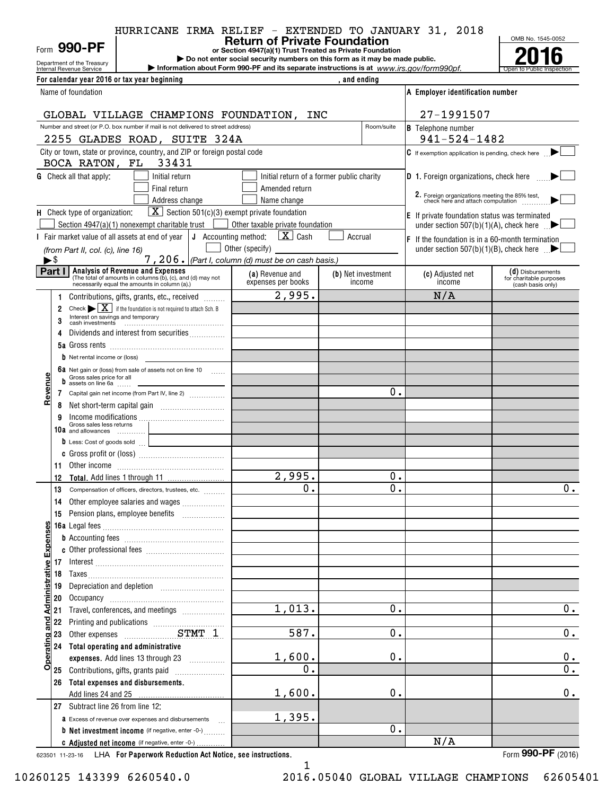|                | HURRICANE IRMA RELIEF - EXTENDED TO JANUARY 31, 2018 |  |                                                           |  |  |  |
|----------------|------------------------------------------------------|--|-----------------------------------------------------------|--|--|--|
|                |                                                      |  | <b>Return of Private Foundation</b>                       |  |  |  |
| Form $990$ -PF |                                                      |  | or Section 4947(a)(1) Trust Treated as Private Foundation |  |  |  |
|                |                                                      |  | .                                                         |  |  |  |



| Department of the Treasury<br>Internal Revenue Service |                                                                                                                   | Do not enter social security numbers on this form as it may be made public.<br>Information about Form 990-PF and its separate instructions is at www.irs.gov/form990pf. |                                           |                                                                                                       |                                                                   |
|--------------------------------------------------------|-------------------------------------------------------------------------------------------------------------------|-------------------------------------------------------------------------------------------------------------------------------------------------------------------------|-------------------------------------------|-------------------------------------------------------------------------------------------------------|-------------------------------------------------------------------|
| For calendar year 2016 or tax year beginning           |                                                                                                                   |                                                                                                                                                                         | , and ending                              |                                                                                                       |                                                                   |
| Name of foundation                                     |                                                                                                                   |                                                                                                                                                                         |                                           | A Employer identification number                                                                      |                                                                   |
|                                                        | GLOBAL VILLAGE CHAMPIONS FOUNDATION, INC                                                                          |                                                                                                                                                                         |                                           | 27-1991507                                                                                            |                                                                   |
|                                                        | Number and street (or P.O. box number if mail is not delivered to street address)                                 |                                                                                                                                                                         | Room/suite                                | <b>B</b> Telephone number                                                                             |                                                                   |
|                                                        | 2255 GLADES ROAD, SUITE 324A                                                                                      |                                                                                                                                                                         |                                           | $941 - 524 - 1482$                                                                                    |                                                                   |
|                                                        | City or town, state or province, country, and ZIP or foreign postal code                                          |                                                                                                                                                                         |                                           | $\mathsf C$ If exemption application is pending, check here $\blacktriangleright$                     |                                                                   |
| BOCA RATON, FL 33431                                   |                                                                                                                   |                                                                                                                                                                         |                                           |                                                                                                       |                                                                   |
| <b>G</b> Check all that apply:                         | Initial return                                                                                                    |                                                                                                                                                                         | Initial return of a former public charity | <b>D</b> 1. Foreign organizations, check here <b>there</b>                                            |                                                                   |
|                                                        | Final return                                                                                                      | Amended return                                                                                                                                                          |                                           |                                                                                                       |                                                                   |
|                                                        | Address change                                                                                                    | Name change                                                                                                                                                             |                                           | 2. Foreign organizations meeting the 85% test,<br>check here and attach computation                   |                                                                   |
| H Check type of organization:                          | $\boxed{\mathbf{X}}$ Section 501(c)(3) exempt private foundation<br>Section 4947(a)(1) nonexempt charitable trust | Other taxable private foundation                                                                                                                                        |                                           | E If private foundation status was terminated<br>under section 507(b)(1)(A), check here $\Box$        |                                                                   |
|                                                        | I Fair market value of all assets at end of year $\vert J \vert$ Accounting method:                               | $\boxed{\mathbf{X}}$ Cash                                                                                                                                               | Accrual                                   |                                                                                                       |                                                                   |
| (from Part II, col. (c), line 16)                      |                                                                                                                   | Other (specify)                                                                                                                                                         |                                           | $ F $ If the foundation is in a 60-month termination<br>under section 507(b)(1)(B), check here $\Box$ |                                                                   |
| ►\$                                                    |                                                                                                                   | $7,206.$ (Part I, column (d) must be on cash basis.)                                                                                                                    |                                           |                                                                                                       |                                                                   |
| <b>Analysis of Revenue and Expenses</b><br>Part I      | (The total of amounts in columns (b), (c), and (d) may not necessarily equal the amounts in column (a).)          | (a) Revenue and<br>expenses per books                                                                                                                                   | (b) Net investment<br>income              | (c) Adjusted net<br>income                                                                            | (d) Disbursements<br>for charitable purposes<br>(cash basis only) |
| 1.                                                     | Contributions, gifts, grants, etc., received                                                                      | 2,995.                                                                                                                                                                  |                                           | N/A                                                                                                   |                                                                   |
| $\overline{2}$                                         | Check $\blacktriangleright \boxed{\mathbf{X}}$ if the foundation is not required to attach Sch. B                 |                                                                                                                                                                         |                                           |                                                                                                       |                                                                   |
| Interest on savings and temporary                      |                                                                                                                   |                                                                                                                                                                         |                                           |                                                                                                       |                                                                   |
|                                                        | Dividends and interest from securities                                                                            |                                                                                                                                                                         |                                           |                                                                                                       |                                                                   |
|                                                        |                                                                                                                   |                                                                                                                                                                         |                                           |                                                                                                       |                                                                   |
| <b>b</b> Net rental income or (loss)                   |                                                                                                                   |                                                                                                                                                                         |                                           |                                                                                                       |                                                                   |
| Gross sales price for all                              | 6a Net gain or (loss) from sale of assets not on line 10                                                          |                                                                                                                                                                         |                                           |                                                                                                       |                                                                   |
| evenu<br>$\frac{1}{2}$ assets on line 6a               | 7 Capital gain net income (from Part IV, line 2)                                                                  |                                                                                                                                                                         | 0.                                        |                                                                                                       |                                                                   |
| œ<br>8                                                 |                                                                                                                   |                                                                                                                                                                         |                                           |                                                                                                       |                                                                   |
| 9                                                      |                                                                                                                   |                                                                                                                                                                         |                                           |                                                                                                       |                                                                   |
| Gross sales less returns<br>10a and allowances         |                                                                                                                   |                                                                                                                                                                         |                                           |                                                                                                       |                                                                   |
|                                                        | D Less: Cost of goods sold                                                                                        |                                                                                                                                                                         |                                           |                                                                                                       |                                                                   |
|                                                        |                                                                                                                   |                                                                                                                                                                         |                                           |                                                                                                       |                                                                   |
|                                                        |                                                                                                                   | 2,995.                                                                                                                                                                  | 0.                                        |                                                                                                       |                                                                   |
| 12                                                     | 13 Compensation of officers, directors, trustees, etc.                                                            | $\mathbf 0$ .                                                                                                                                                           | $\overline{0}$ .                          |                                                                                                       | 0.                                                                |
| 14                                                     | Other employee salaries and wages                                                                                 |                                                                                                                                                                         |                                           |                                                                                                       |                                                                   |
|                                                        | 15 Pension plans, employee benefits                                                                               |                                                                                                                                                                         |                                           |                                                                                                       |                                                                   |
|                                                        |                                                                                                                   |                                                                                                                                                                         |                                           |                                                                                                       |                                                                   |
| <b>Expenses</b>                                        |                                                                                                                   |                                                                                                                                                                         |                                           |                                                                                                       |                                                                   |
|                                                        |                                                                                                                   |                                                                                                                                                                         |                                           |                                                                                                       |                                                                   |
| ative                                                  |                                                                                                                   |                                                                                                                                                                         |                                           |                                                                                                       |                                                                   |
| 18                                                     |                                                                                                                   |                                                                                                                                                                         |                                           |                                                                                                       |                                                                   |
| Administr<br>19<br>20                                  |                                                                                                                   |                                                                                                                                                                         |                                           |                                                                                                       |                                                                   |
| 21                                                     | Travel, conferences, and meetings                                                                                 | 1,013.                                                                                                                                                                  | 0.                                        |                                                                                                       | 0.                                                                |
| and<br>22                                              |                                                                                                                   |                                                                                                                                                                         |                                           |                                                                                                       |                                                                   |
| 23                                                     |                                                                                                                   | 587.                                                                                                                                                                    | $0$ .                                     |                                                                                                       | 0.                                                                |
| perating<br>24 Total operating and administrative      |                                                                                                                   |                                                                                                                                                                         |                                           |                                                                                                       |                                                                   |
|                                                        | expenses. Add lines 13 through 23                                                                                 | 1,600.                                                                                                                                                                  | 0.                                        |                                                                                                       | 0.                                                                |
| o<br>25 Contributions, gifts, grants paid              |                                                                                                                   | 0.                                                                                                                                                                      |                                           |                                                                                                       | $\overline{0}$ .                                                  |
| Total expenses and disbursements.<br>26                |                                                                                                                   |                                                                                                                                                                         | 0.                                        |                                                                                                       | $\mathbf 0$ .                                                     |
| 27 Subtract line 26 from line 12:                      |                                                                                                                   | 1,600.                                                                                                                                                                  |                                           |                                                                                                       |                                                                   |
|                                                        | <b>a</b> Excess of revenue over expenses and disbursements $\ldots$                                               | 1,395.                                                                                                                                                                  |                                           |                                                                                                       |                                                                   |
|                                                        | <b>b</b> Net investment income (if negative, enter -0-)                                                           |                                                                                                                                                                         | 0.                                        |                                                                                                       |                                                                   |
|                                                        | c Adjusted net income (if negative, enter -0-)                                                                    |                                                                                                                                                                         |                                           | N/A                                                                                                   |                                                                   |

1 1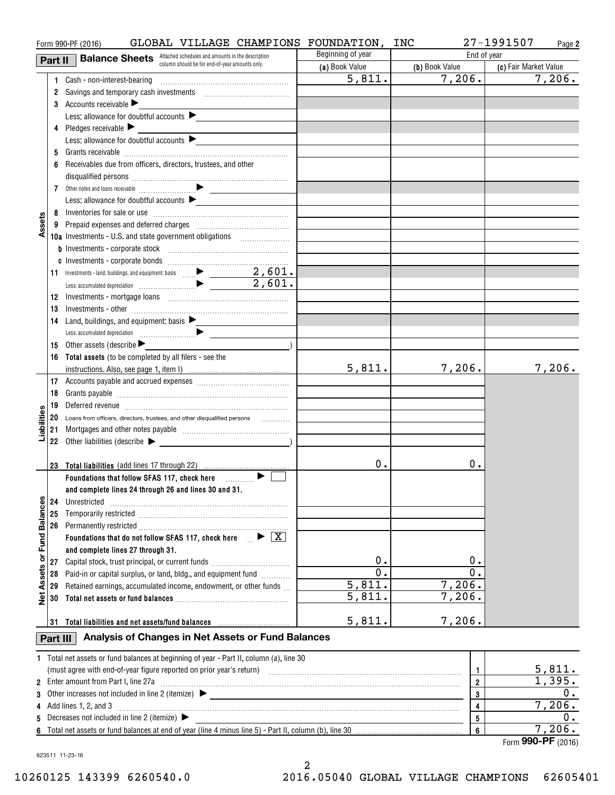|                         |          | GLOBAL VILLAGE CHAMPIONS FOUNDATION, INC<br>Form 990-PF (2016)                                                  |                      |                      | 27-1991507<br>Page 2  |
|-------------------------|----------|-----------------------------------------------------------------------------------------------------------------|----------------------|----------------------|-----------------------|
|                         | Part II  | <b>Balance Sheets</b> Attached schedules and amounts in the description                                         | Beginning of year    | End of year          |                       |
|                         |          | column should be for end-of-year amounts only.                                                                  | (a) Book Value       | (b) Book Value       | (c) Fair Market Value |
|                         |          |                                                                                                                 | 5,811.               | 7,206.               | 7,206.                |
|                         |          | 2 Savings and temporary cash investments [111][11] Savings and temporary cash investments                       |                      |                      |                       |
|                         |          | 3 Accounts receivable                                                                                           |                      |                      |                       |
|                         |          | Less: allowance for doubtful accounts                                                                           |                      |                      |                       |
|                         |          | 4 Pledges receivable                                                                                            |                      |                      |                       |
|                         |          | Less: allowance for doubtful accounts                                                                           |                      |                      |                       |
|                         | 5        |                                                                                                                 |                      |                      |                       |
|                         |          | 6 Receivables due from officers, directors, trustees, and other                                                 |                      |                      |                       |
|                         |          |                                                                                                                 |                      |                      |                       |
|                         |          | $\mathcal{L}^{\text{max}}_{\text{max}}$ and $\mathcal{L}^{\text{max}}_{\text{max}}$                             |                      |                      |                       |
|                         |          | Less: allowance for doubtful accounts                                                                           |                      |                      |                       |
|                         |          |                                                                                                                 |                      |                      |                       |
| Assets                  |          |                                                                                                                 |                      |                      |                       |
|                         |          | 10a Investments - U.S. and state government obligations                                                         |                      |                      |                       |
|                         |          |                                                                                                                 |                      |                      |                       |
|                         |          |                                                                                                                 |                      |                      |                       |
|                         |          |                                                                                                                 |                      |                      |                       |
|                         |          |                                                                                                                 |                      |                      |                       |
|                         | 12       | Investments - mortgage loans [10001] [10001] [10001] [10001] [10001] [10001] [10001] [10001] [10001] [10001] [  |                      |                      |                       |
|                         | 13       |                                                                                                                 |                      |                      |                       |
|                         |          | 14 Land, buildings, and equipment: basis                                                                        |                      |                      |                       |
|                         |          |                                                                                                                 |                      |                      |                       |
|                         |          | <b>15</b> Other assets (describe $\blacktriangleright$                                                          |                      |                      |                       |
|                         |          | 16 Total assets (to be completed by all filers - see the                                                        |                      |                      |                       |
|                         |          |                                                                                                                 | 5,811.               | 7,206.               | 7,206.                |
|                         |          |                                                                                                                 |                      |                      |                       |
|                         | 18       |                                                                                                                 |                      |                      |                       |
|                         |          |                                                                                                                 |                      |                      |                       |
|                         | 19       | Deferred revenue informational contracts and a series of the series of the series of the series of the series o |                      |                      |                       |
| Liabilities             |          | 20 Loans from officers, directors, trustees, and other disqualified persons                                     |                      |                      |                       |
|                         | 21       |                                                                                                                 |                      |                      |                       |
|                         |          | 22 Other liabilities (describe >                                                                                |                      |                      |                       |
|                         |          | 23 Total liabilities (add lines 17 through 22)                                                                  | 0.                   | 0.                   |                       |
|                         |          |                                                                                                                 |                      |                      |                       |
|                         |          | Foundations that follow SFAS 117, check here <b>Fig.</b>   ► E                                                  |                      |                      |                       |
|                         |          | and complete lines 24 through 26 and lines 30 and 31.                                                           |                      |                      |                       |
|                         | 24       | Unrestricted                                                                                                    |                      |                      |                       |
| Assets or Fund Balances | 25       |                                                                                                                 |                      |                      |                       |
|                         |          |                                                                                                                 |                      |                      |                       |
|                         |          | Foundations that do not follow SFAS 117, check here $\Box \triangleright \Box X$                                |                      |                      |                       |
|                         |          | and complete lines 27 through 31.                                                                               | 0.                   | 0.                   |                       |
|                         | 27       | Capital stock, trust principal, or current funds                                                                | $\overline{0}$ .     | $\overline{0}$ .     |                       |
|                         | 28       | Paid-in or capital surplus, or land, bldg., and equipment fund <i>minimal</i>                                   |                      |                      |                       |
|                         | 29       | Retained earnings, accumulated income, endowment, or other funds                                                | $\overline{5,811}$ . | 7,206.               |                       |
| $\frac{1}{2}$           | 30       |                                                                                                                 | 5,811.               | $\overline{7,}$ 206. |                       |
|                         |          |                                                                                                                 |                      |                      |                       |
|                         |          | 31 Total liabilities and net assets/fund balances                                                               | 5,811.               | 7,206.               |                       |
|                         | Part III | Analysis of Changes in Net Assets or Fund Balances                                                              |                      |                      |                       |
|                         |          | 1 Total net assets or fund balances at beginning of year - Part II, column (a), line 30                         |                      |                      |                       |
|                         |          |                                                                                                                 |                      |                      | 5,811.                |
|                         |          |                                                                                                                 |                      | $\mathbf{1}$         | 1,395.                |
|                         |          | 2 Enter amount from Part I, line 27a                                                                            |                      | $\overline{2}$       | 0.                    |
| 3                       |          |                                                                                                                 |                      | 3                    |                       |
| 4                       |          | Add lines 1, 2, and 3                                                                                           |                      | 4                    | 7,206.<br>0.          |
| 5                       |          | Decreases not included in line 2 (itemize) $\blacktriangleright$                                                |                      | 5                    | 7,206.                |
|                         |          |                                                                                                                 |                      | 6                    |                       |

Form **990-PF** ( <sup>2016</sup>) Form (2016) **990-PF**

623511 11-23-16 623511 11-23-16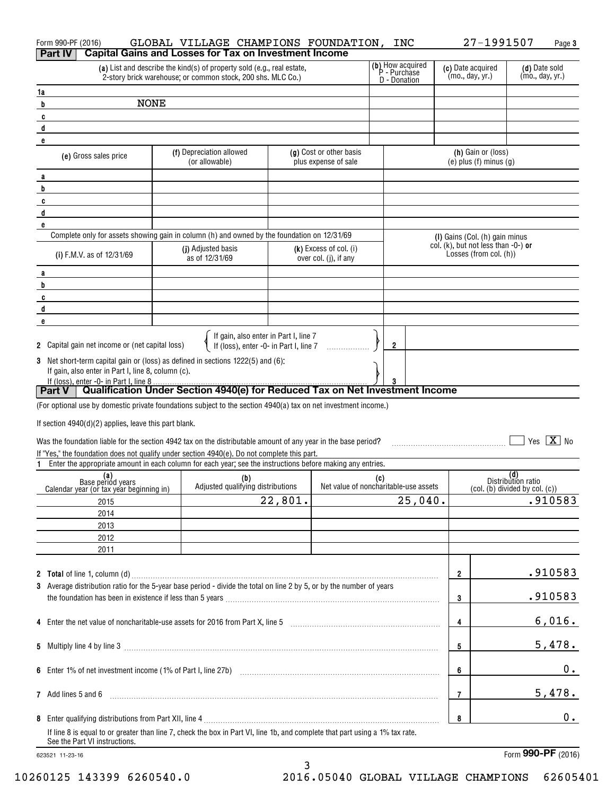| Form 990-PF (2016)                                                                                                                                                  | GLOBAL VILLAGE CHAMPIONS FOUNDATION,                                                                                                  |                                                                                 |                                                   |     | INC                                              |   | 27-1991507                                                                |                                  | Page 3     |
|---------------------------------------------------------------------------------------------------------------------------------------------------------------------|---------------------------------------------------------------------------------------------------------------------------------------|---------------------------------------------------------------------------------|---------------------------------------------------|-----|--------------------------------------------------|---|---------------------------------------------------------------------------|----------------------------------|------------|
| Part IV                                                                                                                                                             | <b>Capital Gains and Losses for Tax on Investment Income</b>                                                                          |                                                                                 |                                                   |     |                                                  |   |                                                                           |                                  |            |
|                                                                                                                                                                     | (a) List and describe the kind(s) of property sold (e.g., real estate,<br>2-story brick warehouse; or common stock, 200 shs. MLC Co.) |                                                                                 |                                                   |     | (b) How acquired<br>P - Purchase<br>D - Donation |   | (c) Date acquired<br>(mo., day, yr.)                                      | (d) Date sold<br>(mo., day, yr.) |            |
| 1a                                                                                                                                                                  |                                                                                                                                       |                                                                                 |                                                   |     |                                                  |   |                                                                           |                                  |            |
| <b>NONE</b><br>b                                                                                                                                                    |                                                                                                                                       |                                                                                 |                                                   |     |                                                  |   |                                                                           |                                  |            |
| C                                                                                                                                                                   |                                                                                                                                       |                                                                                 |                                                   |     |                                                  |   |                                                                           |                                  |            |
| d                                                                                                                                                                   |                                                                                                                                       |                                                                                 |                                                   |     |                                                  |   |                                                                           |                                  |            |
| e                                                                                                                                                                   | (f) Depreciation allowed                                                                                                              |                                                                                 | (g) Cost or other basis                           |     |                                                  |   | (h) Gain or (loss)                                                        |                                  |            |
| (e) Gross sales price                                                                                                                                               | (or allowable)                                                                                                                        |                                                                                 | plus expense of sale                              |     |                                                  |   | $(e)$ plus $(f)$ minus $(g)$                                              |                                  |            |
| a                                                                                                                                                                   |                                                                                                                                       |                                                                                 |                                                   |     |                                                  |   |                                                                           |                                  |            |
| b                                                                                                                                                                   |                                                                                                                                       |                                                                                 |                                                   |     |                                                  |   |                                                                           |                                  |            |
| C<br>d                                                                                                                                                              |                                                                                                                                       |                                                                                 |                                                   |     |                                                  |   |                                                                           |                                  |            |
| e                                                                                                                                                                   |                                                                                                                                       |                                                                                 |                                                   |     |                                                  |   |                                                                           |                                  |            |
| Complete only for assets showing gain in column (h) and owned by the foundation on 12/31/69                                                                         |                                                                                                                                       |                                                                                 |                                                   |     |                                                  |   | (I) Gains (Col. (h) gain minus                                            |                                  |            |
| (i) F.M.V. as of 12/31/69                                                                                                                                           | (j) Adjusted basis<br>as of 12/31/69                                                                                                  |                                                                                 | $(k)$ Excess of col. (i)<br>over col. (j), if any |     |                                                  |   | col. (k), but not less than -0-) or<br>Losses (from col. (h))             |                                  |            |
| a                                                                                                                                                                   |                                                                                                                                       |                                                                                 |                                                   |     |                                                  |   |                                                                           |                                  |            |
| b                                                                                                                                                                   |                                                                                                                                       |                                                                                 |                                                   |     |                                                  |   |                                                                           |                                  |            |
| C                                                                                                                                                                   |                                                                                                                                       |                                                                                 |                                                   |     |                                                  |   |                                                                           |                                  |            |
| d                                                                                                                                                                   |                                                                                                                                       |                                                                                 |                                                   |     |                                                  |   |                                                                           |                                  |            |
| e                                                                                                                                                                   |                                                                                                                                       |                                                                                 |                                                   |     |                                                  |   |                                                                           |                                  |            |
| 2 Capital gain net income or (net capital loss)                                                                                                                     |                                                                                                                                       | If gain, also enter in Part I, line 7<br>If (loss), enter -0- in Part I, line 7 |                                                   |     | $\mathbf{2}$                                     |   |                                                                           |                                  |            |
| 3 Net short-term capital gain or (loss) as defined in sections 1222(5) and (6):                                                                                     |                                                                                                                                       |                                                                                 |                                                   |     |                                                  |   |                                                                           |                                  |            |
| If gain, also enter in Part I, line 8, column (c).                                                                                                                  |                                                                                                                                       |                                                                                 |                                                   |     |                                                  |   |                                                                           |                                  |            |
| If (loss), enter -0- in Part I, line 8<br>Part V   Qualification Under Section 4940(e) for Reduced Tax on Net Investment Income                                     |                                                                                                                                       |                                                                                 |                                                   |     | 3                                                |   |                                                                           |                                  |            |
|                                                                                                                                                                     |                                                                                                                                       |                                                                                 |                                                   |     |                                                  |   |                                                                           |                                  |            |
| (For optional use by domestic private foundations subject to the section 4940(a) tax on net investment income.)                                                     |                                                                                                                                       |                                                                                 |                                                   |     |                                                  |   |                                                                           |                                  |            |
| If section $4940(d)(2)$ applies, leave this part blank.                                                                                                             |                                                                                                                                       |                                                                                 |                                                   |     |                                                  |   |                                                                           |                                  |            |
| Was the foundation liable for the section 4942 tax on the distributable amount of any year in the base period?                                                      |                                                                                                                                       |                                                                                 |                                                   |     |                                                  |   |                                                                           |                                  | Yes $X$ No |
| If "Yes," the foundation does not qualify under section 4940(e). Do not complete this part.                                                                         |                                                                                                                                       |                                                                                 |                                                   |     |                                                  |   |                                                                           |                                  |            |
| Enter the appropriate amount in each column for each year; see the instructions before making any entries.                                                          |                                                                                                                                       |                                                                                 |                                                   |     |                                                  |   |                                                                           |                                  |            |
| (a)<br>Base period years                                                                                                                                            | (b)                                                                                                                                   |                                                                                 |                                                   | (c) |                                                  |   |                                                                           | (d)<br>Distribution ratio        |            |
| Calendar year (or tax year beginning in)                                                                                                                            | Adjusted qualifying distributions                                                                                                     |                                                                                 | Net value of noncharitable-use assets             |     |                                                  |   | $\left($ col. $\left($ b $\right)$ divided by col. $\left($ c $\right)$ ) |                                  |            |
| 2015                                                                                                                                                                |                                                                                                                                       | 22,801.                                                                         |                                                   |     | 25,040.                                          |   |                                                                           |                                  | .910583    |
| 2014<br>2013                                                                                                                                                        |                                                                                                                                       |                                                                                 |                                                   |     |                                                  |   |                                                                           |                                  |            |
| 2012                                                                                                                                                                |                                                                                                                                       |                                                                                 |                                                   |     |                                                  |   |                                                                           |                                  |            |
| 2011                                                                                                                                                                |                                                                                                                                       |                                                                                 |                                                   |     |                                                  |   |                                                                           |                                  |            |
|                                                                                                                                                                     |                                                                                                                                       |                                                                                 |                                                   |     |                                                  |   |                                                                           |                                  |            |
|                                                                                                                                                                     |                                                                                                                                       |                                                                                 |                                                   |     |                                                  | 2 |                                                                           |                                  | .910583    |
| 3 Average distribution ratio for the 5-year base period - divide the total on line 2 by 5, or by the number of years                                                |                                                                                                                                       |                                                                                 |                                                   |     |                                                  |   |                                                                           |                                  |            |
|                                                                                                                                                                     |                                                                                                                                       |                                                                                 |                                                   |     |                                                  | 3 |                                                                           |                                  | .910583    |
| 4 Enter the net value of noncharitable-use assets for 2016 from Part X, line 5 [2016] [2016] The net value of noncharitable-use assets for 2016 from Part X, line 5 |                                                                                                                                       |                                                                                 |                                                   |     |                                                  | 4 |                                                                           |                                  | 6,016.     |
|                                                                                                                                                                     |                                                                                                                                       |                                                                                 |                                                   |     |                                                  | 5 |                                                                           |                                  | 5,478.     |
|                                                                                                                                                                     |                                                                                                                                       |                                                                                 |                                                   |     |                                                  |   |                                                                           |                                  |            |
|                                                                                                                                                                     |                                                                                                                                       |                                                                                 |                                                   |     |                                                  | 6 |                                                                           |                                  | 0.         |
| 7 Add lines 5 and 6                                                                                                                                                 |                                                                                                                                       |                                                                                 |                                                   |     |                                                  | 7 |                                                                           |                                  | 5,478.     |
|                                                                                                                                                                     |                                                                                                                                       |                                                                                 |                                                   |     |                                                  | 8 |                                                                           |                                  | 0.         |
| If line 8 is equal to or greater than line 7, check the box in Part VI, line 1b, and complete that part using a 1% tax rate.<br>See the Part VI instructions.       |                                                                                                                                       |                                                                                 |                                                   |     |                                                  |   |                                                                           |                                  |            |
| 623521 11-23-16                                                                                                                                                     |                                                                                                                                       |                                                                                 |                                                   |     |                                                  |   |                                                                           | Form 990-PF (2016)               |            |

3 3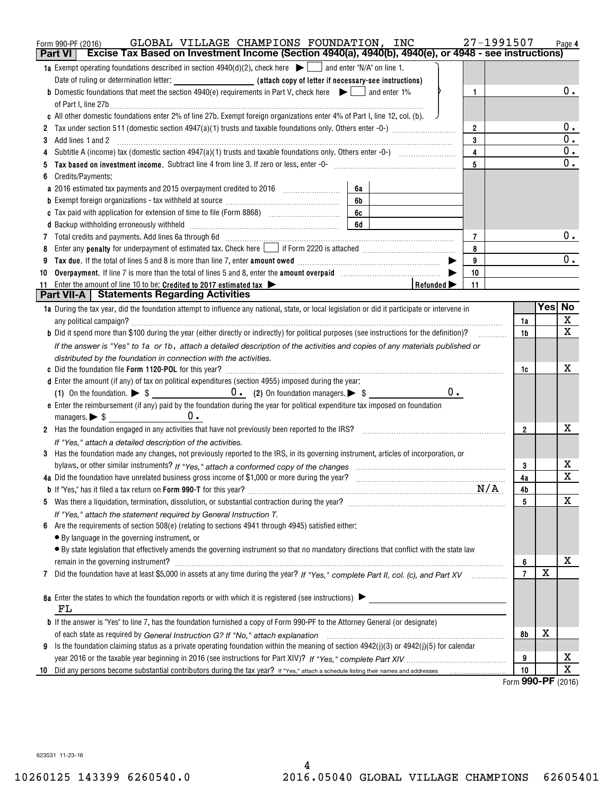|    | GLOBAL VILLAGE CHAMPIONS FOUNDATION, INC<br>Form 990-PF (2016)                                                                                                                   | 27-1991507     |                          | Page 4                     |
|----|----------------------------------------------------------------------------------------------------------------------------------------------------------------------------------|----------------|--------------------------|----------------------------|
|    | Excise Tax Based on Investment Income (Section 4940(a), 4940(b), 4940(e), or 4948 - see instructions)<br><b>Part VI</b>                                                          |                |                          |                            |
|    | <b>1a</b> Exempt operating foundations described in section $4940(d)(2)$ , check here $\Box$ and enter "N/A" on line 1.                                                          |                |                          |                            |
|    |                                                                                                                                                                                  |                |                          |                            |
|    | <b>b</b> Domestic foundations that meet the section 4940(e) requirements in Part V, check here $\bullet$ and enter 1%<br>$\mathbf{1}$                                            |                |                          | 0.                         |
|    |                                                                                                                                                                                  |                |                          |                            |
|    | c All other domestic foundations enter 2% of line 27b. Exempt foreign organizations enter 4% of Part I, line 12, col. (b).                                                       |                |                          |                            |
|    | $\overline{2}$                                                                                                                                                                   |                |                          | $0$ .                      |
| 3  | 3<br>Add lines 1 and 2                                                                                                                                                           |                |                          | $\overline{0}$ .           |
|    | $\overline{\mathbf{4}}$                                                                                                                                                          |                |                          | $\mathbf 0$ .              |
|    | 5                                                                                                                                                                                |                |                          | $\overline{0}$ .           |
|    | Credits/Payments:                                                                                                                                                                |                |                          |                            |
|    | 6a                                                                                                                                                                               |                |                          |                            |
|    | 6b                                                                                                                                                                               |                |                          |                            |
|    | 6c                                                                                                                                                                               |                |                          |                            |
|    | 6d                                                                                                                                                                               |                |                          | $0$ .                      |
| 7  | $\overline{7}$                                                                                                                                                                   |                |                          |                            |
|    | Enter any <b>penalty</b> for underpayment of estimated tax. Check here <b>Leap if Form 2220</b> is attached <i>manumenomention</i><br>8                                          |                |                          | $0$ .                      |
|    | 9<br>10                                                                                                                                                                          |                |                          |                            |
| 10 | Overpayment. If line 7 is more than the total of lines 5 and 8, enter the amount overpaid manufactured and S,<br>11                                                              |                |                          |                            |
| 11 | Enter the amount of line 10 to be: Credited to 2017 estimated tax $\blacktriangleright$<br>Refunded $\blacktriangleright$<br><b>Part VII-A   Statements Regarding Activities</b> |                |                          |                            |
|    | 1a During the tax year, did the foundation attempt to influence any national, state, or local legislation or did it participate or intervene in                                  |                | Yesl                     | No                         |
|    |                                                                                                                                                                                  | 1a             |                          | X                          |
|    | <b>b</b> Did it spend more than \$100 during the year (either directly or indirectly) for political purposes (see instructions for the definition)?                              | 1 <sub>b</sub> |                          | $\overline{\mathbf{x}}$    |
|    | If the answer is "Yes" to 1a or 1b, attach a detailed description of the activities and copies of any materials published or                                                     |                |                          |                            |
|    | distributed by the foundation in connection with the activities.                                                                                                                 |                |                          |                            |
|    |                                                                                                                                                                                  | 1c             |                          | х                          |
|    | d Enter the amount (if any) of tax on political expenditures (section 4955) imposed during the year:                                                                             |                |                          |                            |
|    | $0$ .                                                                                                                                                                            |                |                          |                            |
|    | e Enter the reimbursement (if any) paid by the foundation during the year for political expenditure tax imposed on foundation                                                    |                |                          |                            |
|    |                                                                                                                                                                                  |                |                          |                            |
|    | 2 Has the foundation engaged in any activities that have not previously been reported to the IRS?                                                                                | $\overline{2}$ |                          | х                          |
|    | If "Yes," attach a detailed description of the activities.                                                                                                                       |                |                          |                            |
|    | 3 Has the foundation made any changes, not previously reported to the IRS, in its governing instrument, articles of incorporation, or                                            |                |                          |                            |
|    |                                                                                                                                                                                  | 3              |                          | х                          |
|    |                                                                                                                                                                                  | 4a             |                          | $\overline{\mathbf{x}}$    |
|    |                                                                                                                                                                                  | 4b             |                          |                            |
|    |                                                                                                                                                                                  | 5              |                          | X                          |
|    | If "Yes," attach the statement required by General Instruction T.                                                                                                                |                |                          |                            |
| 6  | Are the requirements of section 508(e) (relating to sections 4941 through 4945) satisfied either:                                                                                |                |                          |                            |
|    | • By language in the governing instrument, or                                                                                                                                    |                |                          |                            |
|    | · By state legislation that effectively amends the governing instrument so that no mandatory directions that conflict with the state law                                         |                |                          |                            |
|    | remain in the governing instrument?                                                                                                                                              | 6              |                          | х                          |
| 7  | Did the foundation have at least \$5,000 in assets at any time during the year? If "Yes," complete Part II, col. (c), and Part XV                                                | $\overline{7}$ | $\mathbf X$              |                            |
|    |                                                                                                                                                                                  |                |                          |                            |
|    | 8a Enter the states to which the foundation reports or with which it is registered (see instructions)                                                                            |                |                          |                            |
|    | FL                                                                                                                                                                               |                |                          |                            |
|    | <b>b</b> If the answer is "Yes" to line 7, has the foundation furnished a copy of Form 990-PF to the Attorney General (or designate)                                             |                |                          |                            |
|    |                                                                                                                                                                                  | 8b             | х                        |                            |
| 9  | Is the foundation claiming status as a private operating foundation within the meaning of section 4942(j)(3) or 4942(j)(5) for calendar                                          |                |                          |                            |
|    |                                                                                                                                                                                  | 9              |                          | х<br>$\overline{\text{X}}$ |
|    |                                                                                                                                                                                  | 10             | $000 \text{ } \text{DE}$ |                            |

Form **990-PF** ( <sup>2016</sup>) Form (2016) **990-PF**

623531 11-23-16 623531 11-23-16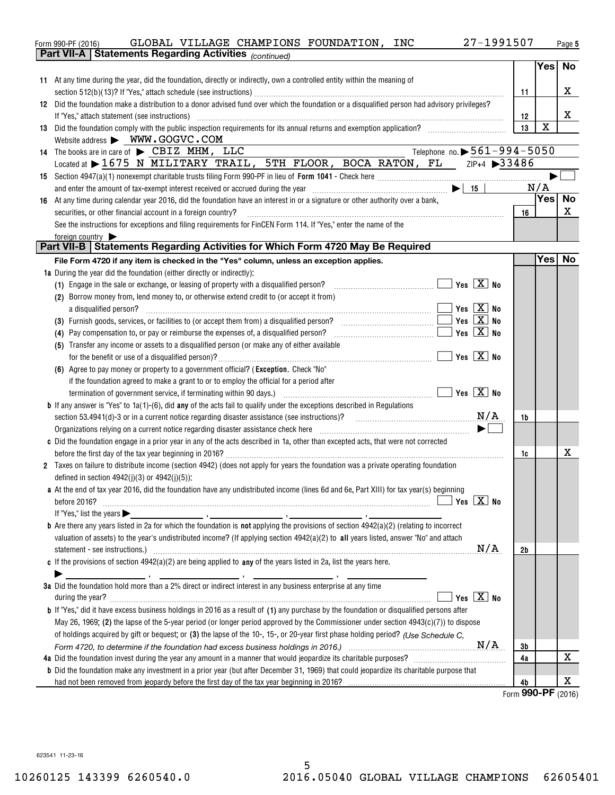|    | 27-1991507<br>GLOBAL VILLAGE CHAMPIONS FOUNDATION, INC<br>Form 990-PF (2016)                                                                                                                                                                                                                                                                                                                                                                                                                                |    |             | Page 5 |
|----|-------------------------------------------------------------------------------------------------------------------------------------------------------------------------------------------------------------------------------------------------------------------------------------------------------------------------------------------------------------------------------------------------------------------------------------------------------------------------------------------------------------|----|-------------|--------|
|    | Part VII-A   Statements Regarding Activities (continued)                                                                                                                                                                                                                                                                                                                                                                                                                                                    |    |             |        |
|    |                                                                                                                                                                                                                                                                                                                                                                                                                                                                                                             |    | Yes No      |        |
|    | 11 At any time during the year, did the foundation, directly or indirectly, own a controlled entity within the meaning of                                                                                                                                                                                                                                                                                                                                                                                   |    |             |        |
|    |                                                                                                                                                                                                                                                                                                                                                                                                                                                                                                             | 11 |             | X      |
|    | 12 Did the foundation make a distribution to a donor advised fund over which the foundation or a disqualified person had advisory privileges?                                                                                                                                                                                                                                                                                                                                                               |    |             |        |
|    | If "Yes," attach statement (see instructions) with an according to the control of the statement of the statement (see instructions)                                                                                                                                                                                                                                                                                                                                                                         | 12 |             | X      |
|    | 13 Did the foundation comply with the public inspection requirements for its annual returns and exemption application?                                                                                                                                                                                                                                                                                                                                                                                      | 13 | $\mathbf X$ |        |
|    | Website address > WWW.GOGVC.COM                                                                                                                                                                                                                                                                                                                                                                                                                                                                             |    |             |        |
|    | Telephone no. $\triangleright$ 561-994-5050<br>14 The books are in care of $\blacktriangleright$ CBIZ MHM, LLC                                                                                                                                                                                                                                                                                                                                                                                              |    |             |        |
|    | Located at > 1675 N MILITARY TRAIL, 5TH FLOOR, BOCA RATON, FL ZIP+4 >33486                                                                                                                                                                                                                                                                                                                                                                                                                                  |    |             |        |
|    |                                                                                                                                                                                                                                                                                                                                                                                                                                                                                                             |    |             |        |
|    |                                                                                                                                                                                                                                                                                                                                                                                                                                                                                                             |    | N/A         |        |
| 16 | At any time during calendar year 2016, did the foundation have an interest in or a signature or other authority over a bank,                                                                                                                                                                                                                                                                                                                                                                                |    | Yes         | No     |
|    | securities, or other financial account in a foreign country?<br>$\begin{minipage}[b]{0.9\textwidth} \centering \begin{tabular}{ l l l } \hline \multicolumn{1}{ l l l } \hline \multicolumn{1}{ l l } \multicolumn{1}{ l } \multicolumn{1}{ l } \multicolumn{1}{ l } \multicolumn{1}{ l } \multicolumn{1}{ l } \multicolumn{1}{ l } \multicolumn{1}{ l } \multicolumn{1}{ l } \multicolumn{1}{ l } \multicolumn{1}{ l } \multicolumn{1}{ l } \multicolumn{1}{ l } \multicolumn{1}{ l } \multicolumn{1}{ l $ | 16 |             | х      |
|    | See the instructions for exceptions and filing requirements for FinCEN Form 114. If "Yes," enter the name of the                                                                                                                                                                                                                                                                                                                                                                                            |    |             |        |
|    | foreign country $\blacktriangleright$                                                                                                                                                                                                                                                                                                                                                                                                                                                                       |    |             |        |
|    | Part VII-B   Statements Regarding Activities for Which Form 4720 May Be Required                                                                                                                                                                                                                                                                                                                                                                                                                            |    |             |        |
|    | File Form 4720 if any item is checked in the "Yes" column, unless an exception applies.                                                                                                                                                                                                                                                                                                                                                                                                                     |    | Yes No      |        |
|    | 1a During the year did the foundation (either directly or indirectly):                                                                                                                                                                                                                                                                                                                                                                                                                                      |    |             |        |
|    | (1) Engage in the sale or exchange, or leasing of property with a disqualified person? $\ldots$ $\ldots$ $\ldots$ $\ldots$ $\ldots$ $\ldots$ $\ldots$ Yes $\boxed{\mathbf{X}}$ No                                                                                                                                                                                                                                                                                                                           |    |             |        |
|    | (2) Borrow money from, lend money to, or otherwise extend credit to (or accept it from)                                                                                                                                                                                                                                                                                                                                                                                                                     |    |             |        |
|    | $\blacksquare$ Yes $\boxed{X}$ No                                                                                                                                                                                                                                                                                                                                                                                                                                                                           |    |             |        |
|    | $\boxed{\phantom{1}}$ Yes $\boxed{\mathrm{X}}$ No<br>(3) Furnish goods, services, or facilities to (or accept them from) a disqualified person? [[[[[[[[[[[[[[[[[[]]]]]]                                                                                                                                                                                                                                                                                                                                    |    |             |        |
|    | (4) Pay compensation to, or pay or reimburse the expenses of, a disqualified person? $\ldots$ $\ldots$ $\ldots$ $\ldots$ $\ldots$ $\ldots$ $\ldots$ Yes $\boxed{\mathbf{X}}$ No                                                                                                                                                                                                                                                                                                                             |    |             |        |
|    | (5) Transfer any income or assets to a disqualified person (or make any of either available                                                                                                                                                                                                                                                                                                                                                                                                                 |    |             |        |
|    |                                                                                                                                                                                                                                                                                                                                                                                                                                                                                                             |    |             |        |
|    | (6) Agree to pay money or property to a government official? (Exception. Check "No"                                                                                                                                                                                                                                                                                                                                                                                                                         |    |             |        |
|    | if the foundation agreed to make a grant to or to employ the official for a period after                                                                                                                                                                                                                                                                                                                                                                                                                    |    |             |        |
|    | termination of government service, if terminating within 90 days.) $\Box$ $\Box$ Yes $\Box$ Yes $\Box$ No                                                                                                                                                                                                                                                                                                                                                                                                   |    |             |        |
|    | <b>b</b> If any answer is "Yes" to 1a(1)-(6), did any of the acts fail to qualify under the exceptions described in Regulations                                                                                                                                                                                                                                                                                                                                                                             |    |             |        |
|    | section 53.4941(d)-3 or in a current notice regarding disaster assistance (see instructions)? $N/A$                                                                                                                                                                                                                                                                                                                                                                                                         | 1b |             |        |
|    | $\blacktriangleright$                                                                                                                                                                                                                                                                                                                                                                                                                                                                                       |    |             |        |
|    | c Did the foundation engage in a prior year in any of the acts described in 1a, other than excepted acts, that were not corrected                                                                                                                                                                                                                                                                                                                                                                           |    |             |        |
|    |                                                                                                                                                                                                                                                                                                                                                                                                                                                                                                             | 1c |             | X      |
|    | 2 Taxes on failure to distribute income (section 4942) (does not apply for years the foundation was a private operating foundation                                                                                                                                                                                                                                                                                                                                                                          |    |             |        |
|    | defined in section $4942(j)(3)$ or $4942(j)(5)$ :                                                                                                                                                                                                                                                                                                                                                                                                                                                           |    |             |        |
|    | a At the end of tax year 2016, did the foundation have any undistributed income (lines 6d and 6e, Part XIII) for tax year(s) beginning                                                                                                                                                                                                                                                                                                                                                                      |    |             |        |
|    | $\sqrt{}$ Yes $\sqrt{}$ X $\sqrt{}$ No<br>before 2016?                                                                                                                                                                                                                                                                                                                                                                                                                                                      |    |             |        |
|    |                                                                                                                                                                                                                                                                                                                                                                                                                                                                                                             |    |             |        |
|    | <b>b</b> Are there any years listed in 2a for which the foundation is <b>not</b> applying the provisions of section $4942(a)(2)$ (relating to incorrect                                                                                                                                                                                                                                                                                                                                                     |    |             |        |
|    | valuation of assets) to the year's undistributed income? (If applying section 4942(a)(2) to all years listed, answer "No" and attach                                                                                                                                                                                                                                                                                                                                                                        |    |             |        |
|    | statement - see instructions.) with an example of the contract of the contract of the contract of the contract of the contract of the contract of the contract of the contract of the contract of the contract of the contract                                                                                                                                                                                                                                                                              | 2b |             |        |
|    | c If the provisions of section $4942(a)(2)$ are being applied to any of the years listed in 2a, list the years here.                                                                                                                                                                                                                                                                                                                                                                                        |    |             |        |
|    |                                                                                                                                                                                                                                                                                                                                                                                                                                                                                                             |    |             |        |
|    | 3a Did the foundation hold more than a 2% direct or indirect interest in any business enterprise at any time                                                                                                                                                                                                                                                                                                                                                                                                |    |             |        |
|    | Yes $\boxed{X}$ No<br>during the year? <b>William Commission Commission Commission</b> Commission Commission Commission Commission                                                                                                                                                                                                                                                                                                                                                                          |    |             |        |
|    | <b>b</b> If "Yes," did it have excess business holdings in 2016 as a result of (1) any purchase by the foundation or disqualified persons after                                                                                                                                                                                                                                                                                                                                                             |    |             |        |
|    | May 26, 1969; (2) the lapse of the 5-year period (or longer period approved by the Commissioner under section $4943(c)(7)$ ) to dispose                                                                                                                                                                                                                                                                                                                                                                     |    |             |        |
|    | of holdings acquired by gift or bequest; or (3) the lapse of the 10-, 15-, or 20-year first phase holding period? (Use Schedule C.                                                                                                                                                                                                                                                                                                                                                                          |    |             |        |
|    |                                                                                                                                                                                                                                                                                                                                                                                                                                                                                                             | 3b |             |        |
|    |                                                                                                                                                                                                                                                                                                                                                                                                                                                                                                             |    |             | X      |
|    |                                                                                                                                                                                                                                                                                                                                                                                                                                                                                                             | 4a |             |        |
|    | <b>b</b> Did the foundation make any investment in a prior year (but after December 31, 1969) that could jeopardize its charitable purpose that<br>had not been removed from jeopardy before the first day of the tax year beginning in 2016?                                                                                                                                                                                                                                                               |    |             | X      |

623541 11-23-16 623541 11-23-16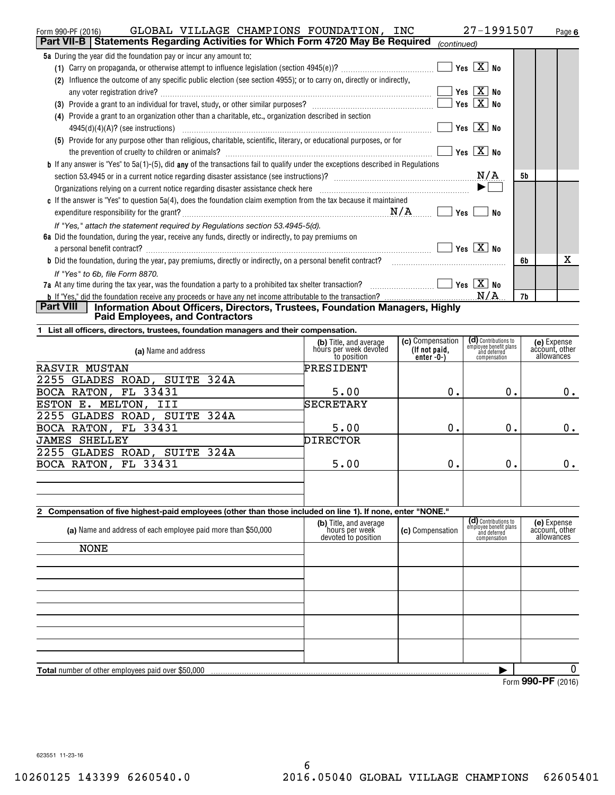| GLOBAL VILLAGE CHAMPIONS FOUNDATION, INC<br>Form 990-PF (2016)                                                                          |                                                  |                  | 27-1991507                                                     | Page 6                        |
|-----------------------------------------------------------------------------------------------------------------------------------------|--------------------------------------------------|------------------|----------------------------------------------------------------|-------------------------------|
| Part VII-B   Statements Regarding Activities for Which Form 4720 May Be Required                                                        |                                                  | (continued)      |                                                                |                               |
| 5a During the year did the foundation pay or incur any amount to:                                                                       |                                                  |                  |                                                                |                               |
|                                                                                                                                         |                                                  |                  | Yes $X$ No                                                     |                               |
| (2) Influence the outcome of any specific public election (see section 4955); or to carry on, directly or indirectly,                   |                                                  |                  |                                                                |                               |
|                                                                                                                                         |                                                  |                  | Yes $\boxed{X}$ No                                             |                               |
|                                                                                                                                         |                                                  |                  | Yes $X$ No                                                     |                               |
| (4) Provide a grant to an organization other than a charitable, etc., organization described in section                                 |                                                  |                  |                                                                |                               |
|                                                                                                                                         |                                                  |                  | Yes $X$ No                                                     |                               |
| (5) Provide for any purpose other than religious, charitable, scientific, literary, or educational purposes, or for                     |                                                  |                  |                                                                |                               |
|                                                                                                                                         |                                                  |                  | Yes $\boxed{X}$ No                                             |                               |
| <b>b</b> If any answer is "Yes" to 5a(1)-(5), did any of the transactions fail to qualify under the exceptions described in Regulations |                                                  |                  |                                                                |                               |
|                                                                                                                                         |                                                  |                  | N/A                                                            | 5b                            |
|                                                                                                                                         |                                                  |                  |                                                                |                               |
| c If the answer is "Yes" to question $5a(4)$ , does the foundation claim exemption from the tax because it maintained                   |                                                  |                  |                                                                |                               |
|                                                                                                                                         |                                                  |                  |                                                                |                               |
|                                                                                                                                         |                                                  |                  | No                                                             |                               |
| If "Yes," attach the statement required by Regulations section 53.4945-5(d).                                                            |                                                  |                  |                                                                |                               |
| 6a Did the foundation, during the year, receive any funds, directly or indirectly, to pay premiums on                                   |                                                  |                  |                                                                |                               |
| a personal benefit contract? $\ldots$ No                                                                                                |                                                  |                  |                                                                |                               |
|                                                                                                                                         |                                                  |                  |                                                                | x<br>6b                       |
| If "Yes" to 6b. file Form 8870.                                                                                                         |                                                  |                  |                                                                |                               |
| 7a At any time during the tax year, was the foundation a party to a prohibited tax shelter transaction? $\ldots$ $\ldots$ $\ldots$      |                                                  |                  |                                                                |                               |
|                                                                                                                                         |                                                  |                  |                                                                | 7b                            |
| Part VIII<br>Information About Officers, Directors, Trustees, Foundation Managers, Highly<br><b>Paid Employees, and Contractors</b>     |                                                  |                  |                                                                |                               |
|                                                                                                                                         |                                                  |                  |                                                                |                               |
| List all officers, directors, trustees, foundation managers and their compensation.                                                     |                                                  | (c) Compensation |                                                                |                               |
| (a) Name and address                                                                                                                    | (b) Title, and average<br>hours per week devoted | (If not paid,    | (d) Contributions to<br>employee benefit plans<br>and deferred | (e) Expense<br>account, other |
|                                                                                                                                         | to position                                      | enter $-0$ - $)$ | compensation                                                   | allowances                    |
| <b>RASVIR MUSTAN</b>                                                                                                                    | PRESIDENT                                        |                  |                                                                |                               |
| 2255 GLADES ROAD, SUITE 324A                                                                                                            |                                                  |                  |                                                                |                               |
| BOCA RATON, FL 33431                                                                                                                    | 5.00                                             | 0.               | 0.                                                             | 0.                            |
| ESTON E. MELTON, III                                                                                                                    | SECRETARY                                        |                  |                                                                |                               |
| 2255 GLADES ROAD, SUITE 324A                                                                                                            |                                                  |                  |                                                                |                               |
| BOCA RATON, FL 33431                                                                                                                    | 5.00                                             | 0.               | $0$ .                                                          | 0.                            |
| <b>JAMES SHELLEY</b>                                                                                                                    | <b>DIRECTOR</b>                                  |                  |                                                                |                               |
| 2255 GLADES ROAD, SUITE 324A                                                                                                            |                                                  |                  |                                                                |                               |
| BOCA RATON, FL 33431                                                                                                                    | 5.00                                             | 0.               | $0$ .                                                          | 0.                            |
|                                                                                                                                         |                                                  |                  |                                                                |                               |
|                                                                                                                                         |                                                  |                  |                                                                |                               |
|                                                                                                                                         |                                                  |                  |                                                                |                               |
| 2 Compensation of five highest-paid employees (other than those included on line 1). If none, enter "NONE."                             |                                                  |                  |                                                                |                               |
| (a) Name and address of each employee paid more than \$50,000                                                                           | (b) Title, and average                           | (c) Compensation | (d) Contributions to<br>employee benefit plans                 | (e) Expense                   |
|                                                                                                                                         | hours per week<br>devoted to position            |                  | and deferred<br>compensation                                   | account, other<br>allowances  |
| <b>NONE</b>                                                                                                                             |                                                  |                  |                                                                |                               |
|                                                                                                                                         |                                                  |                  |                                                                |                               |
|                                                                                                                                         |                                                  |                  |                                                                |                               |
|                                                                                                                                         |                                                  |                  |                                                                |                               |
|                                                                                                                                         |                                                  |                  |                                                                |                               |
|                                                                                                                                         |                                                  |                  |                                                                |                               |
|                                                                                                                                         |                                                  |                  |                                                                |                               |
|                                                                                                                                         |                                                  |                  |                                                                |                               |
|                                                                                                                                         |                                                  |                  |                                                                |                               |
|                                                                                                                                         |                                                  |                  |                                                                |                               |
| Total number of other employees paid over \$50,000                                                                                      |                                                  |                  |                                                                | 0                             |
|                                                                                                                                         |                                                  |                  |                                                                | Form 990-PF (2016)            |
|                                                                                                                                         |                                                  |                  |                                                                |                               |

Form **990-PF** ( <sup>2016</sup>) Form (2016) **990-PF**

623551 11-23-16 623551 11-23-16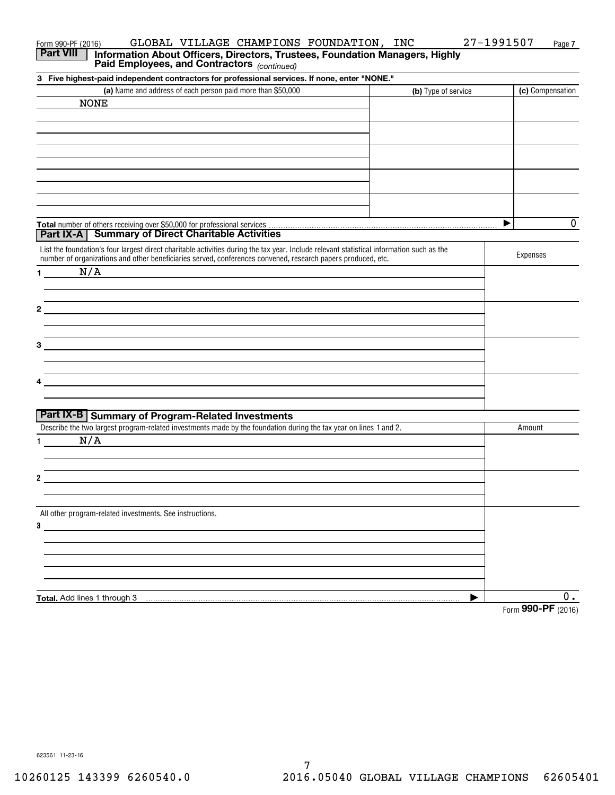| GLOBAL VILLAGE CHAMPIONS FOUNDATION, INC<br>Form 990-PF (2016)                                                                                  | 27-1991507          | Page 7             |
|-------------------------------------------------------------------------------------------------------------------------------------------------|---------------------|--------------------|
| <b>Part VIII</b><br>Information About Officers, Directors, Trustees, Foundation Managers, Highly<br>Paid Employees, and Contractors (continued) |                     |                    |
| 3 Five highest-paid independent contractors for professional services. If none, enter "NONE."                                                   |                     |                    |
| (a) Name and address of each person paid more than \$50,000                                                                                     | (b) Type of service | (c) Compensation   |
| <b>NONE</b>                                                                                                                                     |                     |                    |
|                                                                                                                                                 |                     |                    |
|                                                                                                                                                 |                     |                    |
|                                                                                                                                                 |                     |                    |
|                                                                                                                                                 |                     |                    |
|                                                                                                                                                 |                     |                    |
|                                                                                                                                                 |                     |                    |
|                                                                                                                                                 |                     |                    |
|                                                                                                                                                 |                     |                    |
| Total number of others receiving over \$50,000 for professional services                                                                        |                     | $\mathbf 0$<br>▶   |
| <b>Part IX-A</b> Summary of Direct Charitable Activities                                                                                        |                     |                    |
| List the foundation's four largest direct charitable activities during the tax year. Include relevant statistical information such as the       |                     |                    |
| number of organizations and other beneficiaries served, conferences convened, research papers produced, etc.                                    |                     | Expenses           |
| N/A<br>1.                                                                                                                                       |                     |                    |
|                                                                                                                                                 |                     |                    |
|                                                                                                                                                 |                     |                    |
| 2                                                                                                                                               |                     |                    |
|                                                                                                                                                 |                     |                    |
|                                                                                                                                                 |                     |                    |
| 3                                                                                                                                               |                     |                    |
|                                                                                                                                                 |                     |                    |
|                                                                                                                                                 |                     |                    |
|                                                                                                                                                 |                     |                    |
|                                                                                                                                                 |                     |                    |
| <b>Part IX-B Summary of Program-Related Investments</b>                                                                                         |                     |                    |
| Describe the two largest program-related investments made by the foundation during the tax year on lines 1 and 2.                               |                     | Amount             |
| N/A                                                                                                                                             |                     |                    |
|                                                                                                                                                 |                     |                    |
|                                                                                                                                                 |                     |                    |
| 2                                                                                                                                               |                     |                    |
|                                                                                                                                                 |                     |                    |
| All other program-related investments. See instructions.                                                                                        |                     |                    |
| $3 \overline{\phantom{a}}$                                                                                                                      |                     |                    |
|                                                                                                                                                 |                     |                    |
|                                                                                                                                                 |                     |                    |
|                                                                                                                                                 |                     |                    |
|                                                                                                                                                 |                     |                    |
|                                                                                                                                                 |                     |                    |
| Total. Add lines 1 through 3                                                                                                                    |                     | 0.                 |
|                                                                                                                                                 |                     | Form 990-PF (2016) |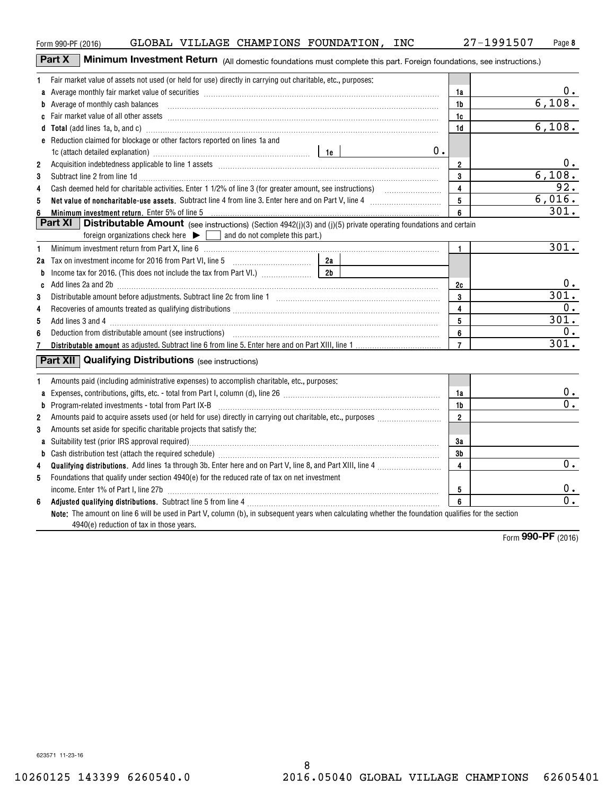8 8 10260125 143399 6260540.0 2016.05040 GLOBAL VILLAGE CHAMPIONS 62605401 10260125 143399 6260540.0 2016.05040 GLOBAL VILLAGE CHAMPIONS 62605401

| Form 990-PF (2016) | GLOBAL | VILLAGE | CHAMPIONS | FOUNDATION | INC | 1991507-<br>ົາ<br>$\sqrt{ }$ | Page 8 |
|--------------------|--------|---------|-----------|------------|-----|------------------------------|--------|

|                | Part X<br>Minimum Investment Return (All domestic foundations must complete this part. Foreign foundations, see instructions.)                                                                                                           |                         |                  |
|----------------|------------------------------------------------------------------------------------------------------------------------------------------------------------------------------------------------------------------------------------------|-------------------------|------------------|
| 1              | Fair market value of assets not used (or held for use) directly in carrying out charitable, etc., purposes:                                                                                                                              |                         |                  |
| a              | Average monthly fair market value of securities [111] Average manuscription of the market value of securities [11] Average monthly fair market value of securities [11] Average monthly fair market value of securities [11] A           | 1a                      |                  |
|                | <b>b</b> Average of monthly cash balances                                                                                                                                                                                                | 1b                      | 6,108.           |
|                |                                                                                                                                                                                                                                          | 1c                      |                  |
|                | d Total (add lines 1a, b, and c) Mathematical Communication and Total (add lines 1a, b, and c)                                                                                                                                           | 1d                      | 6,108.           |
|                | e Reduction claimed for blockage or other factors reported on lines 1a and                                                                                                                                                               |                         |                  |
|                | 1c (attach detailed explanation) manufacture and according to the last of the last the last series and the last the last the last the last the last the last the last the last the last the last the last the last the last th           | 0.                      |                  |
| $\overline{2}$ | Acquisition indebtedness applicable to line 1 assets [11] matter content in the state of the state of the state of the state of the state of the state of the state of the state of the state of the state of the state of the           | $\overline{2}$          | 0.               |
| 3              | Subtract line 2 from line 1d <b>Machinese and Contract Line 2</b> from line 1d <b>machinese and contract line 2</b> from line 1d                                                                                                         | 3                       | 6,108.           |
| 4              |                                                                                                                                                                                                                                          | 4                       | 92.              |
| 5              |                                                                                                                                                                                                                                          | 5                       | 6,016.           |
| 6              | Minimum investment return. Enter 5% of line 5 [11] Martin Martin Martin Martin Martin Martin Martin Martin Mar                                                                                                                           | 6                       | 301.             |
|                | <b>Part XI</b><br><b>Distributable Amount</b> (see instructions) (Section 4942(j)(3) and (j)(5) private operating foundations and certain<br>foreign organizations check here $\blacktriangleright \Box$ and do not complete this part.) |                         |                  |
| 1              |                                                                                                                                                                                                                                          | 1.                      | 301.             |
|                |                                                                                                                                                                                                                                          |                         |                  |
| b              |                                                                                                                                                                                                                                          |                         |                  |
| C              |                                                                                                                                                                                                                                          | 2c                      |                  |
| 3              |                                                                                                                                                                                                                                          | 3                       | 301.             |
| 4              |                                                                                                                                                                                                                                          | 4                       | 0.               |
| 5              |                                                                                                                                                                                                                                          | 5                       | 301.             |
| 6              |                                                                                                                                                                                                                                          | 6                       | 0.               |
| 7              |                                                                                                                                                                                                                                          | $\overline{7}$          | 301.             |
|                | <b>Part XII</b> Qualifying Distributions (see instructions)                                                                                                                                                                              |                         |                  |
| 1              | Amounts paid (including administrative expenses) to accomplish charitable, etc., purposes:                                                                                                                                               |                         |                  |
| a              |                                                                                                                                                                                                                                          | 1a                      | <u>0.</u>        |
|                |                                                                                                                                                                                                                                          | 1 <sub>b</sub>          | $\overline{0}$ . |
| $\overline{2}$ |                                                                                                                                                                                                                                          | $\overline{2}$          |                  |
| 3              | Amounts set aside for specific charitable projects that satisfy the:                                                                                                                                                                     |                         |                  |
| a              |                                                                                                                                                                                                                                          | 3a                      |                  |
|                |                                                                                                                                                                                                                                          | 3b                      |                  |
| 4              |                                                                                                                                                                                                                                          | $\overline{\mathbf{4}}$ | $\overline{0}$ . |
| 5              | Foundations that qualify under section 4940(e) for the reduced rate of tax on net investment                                                                                                                                             | 5                       | 0.               |
| 6              |                                                                                                                                                                                                                                          | 6                       | $\overline{0}$ . |
|                | Note: The amount on line 6 will be used in Part V, column (b), in subsequent years when calculating whether the foundation qualifies for the section<br>4940(e) reduction of tax in those years.                                         |                         |                  |

Form **990-PF** ( <sup>2016</sup>) Form (2016) **990-PF**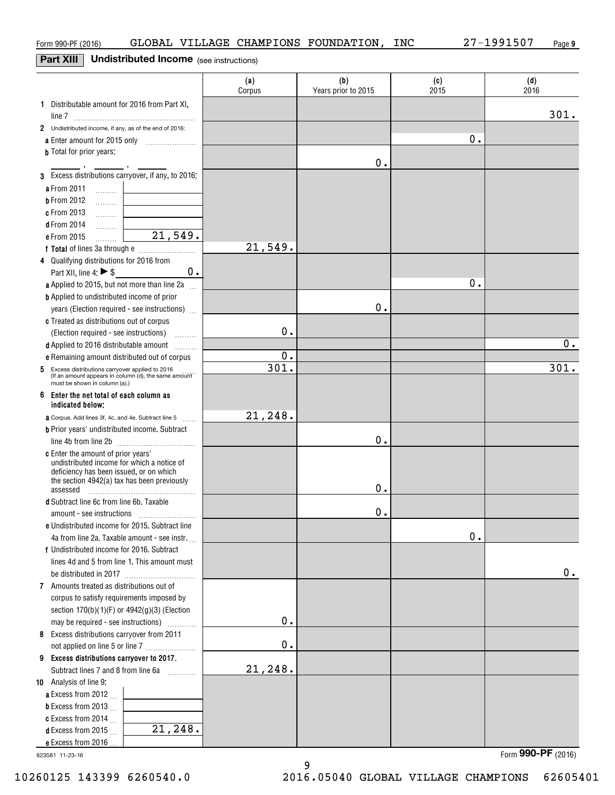### **Part XIII** I **Undistributed Income** (see instructions) **Part XIII Undistributed Income** (see instructions)

|                                                                                                          | (a)<br>Corpus | (b)<br>Years prior to 2015 | (c)<br>2015 | (d)<br>2016      |
|----------------------------------------------------------------------------------------------------------|---------------|----------------------------|-------------|------------------|
| 1 Distributable amount for 2016 from Part XI,                                                            |               |                            |             | 301.             |
| 2 Undistributed income, if any, as of the end of 2016:                                                   |               |                            |             |                  |
| a Enter amount for 2015 only                                                                             |               |                            | 0.          |                  |
| <b>b</b> Total for prior years:                                                                          |               |                            |             |                  |
|                                                                                                          |               | 0.                         |             |                  |
| 3 Excess distributions carryover, if any, to 2016:                                                       |               |                            |             |                  |
| a From 2011<br>. 1                                                                                       |               |                            |             |                  |
| <b>b</b> From 2012<br>.                                                                                  |               |                            |             |                  |
| c From 2013<br>.                                                                                         |               |                            |             |                  |
| <b>d</b> From 2014<br>.                                                                                  |               |                            |             |                  |
| $\overline{21,549}$ .<br>e From 2015<br>.                                                                |               |                            |             |                  |
|                                                                                                          | 21,549.       |                            |             |                  |
| 4 Qualifying distributions for 2016 from                                                                 |               |                            |             |                  |
| 0.<br>Part XII, line 4: $\triangleright$ \$                                                              |               |                            |             |                  |
| a Applied to 2015, but not more than line 2a                                                             |               |                            | 0.          |                  |
| <b>b</b> Applied to undistributed income of prior                                                        |               |                            |             |                  |
| years (Election required - see instructions)                                                             |               | 0.                         |             |                  |
| c Treated as distributions out of corpus                                                                 |               |                            |             |                  |
| (Election required - see instructions)<br><b>Bassander</b>                                               | 0.            |                            |             |                  |
| d Applied to 2016 distributable amount<br>1.1.1.1.1.1.1                                                  |               |                            |             | $\overline{0}$ . |
| e Remaining amount distributed out of corpus                                                             | 0.            |                            |             |                  |
| 5 Excess distributions carryover applied to 2016<br>(If an amount appears in column (d), the same amount | 301.          |                            |             | 301.             |
| must be shown in column (a).)<br>6 Enter the net total of each column as                                 |               |                            |             |                  |
| indicated below:                                                                                         | 21,248.       |                            |             |                  |
| <b>a</b> Corpus. Add lines 3f, 4c, and 4e. Subtract line 5                                               |               |                            |             |                  |
| <b>b</b> Prior years' undistributed income. Subtract                                                     |               | 0.                         |             |                  |
| c Enter the amount of prior years'                                                                       |               |                            |             |                  |
| undistributed income for which a notice of                                                               |               |                            |             |                  |
| deficiency has been issued, or on which                                                                  |               |                            |             |                  |
| the section 4942(a) tax has been previously<br>assessed                                                  |               | Ο.                         |             |                  |
| d Subtract line 6c from line 6b. Taxable                                                                 |               |                            |             |                  |
|                                                                                                          |               | 0.                         |             |                  |
| e Undistributed income for 2015. Subtract line                                                           |               |                            |             |                  |
| 4a from line 2a. Taxable amount - see instr.                                                             |               |                            | 0.          |                  |
| f Undistributed income for 2016. Subtract                                                                |               |                            |             |                  |
| lines 4d and 5 from line 1. This amount must                                                             |               |                            |             |                  |
|                                                                                                          |               |                            |             | 0.               |
| 7 Amounts treated as distributions out of                                                                |               |                            |             |                  |
| corpus to satisfy requirements imposed by                                                                |               |                            |             |                  |
| section $170(b)(1)(F)$ or $4942(g)(3)$ (Election                                                         |               |                            |             |                  |
| may be required - see instructions)<br>.                                                                 | 0.            |                            |             |                  |
| 8 Excess distributions carryover from 2011                                                               |               |                            |             |                  |
| not applied on line 5 or line 7                                                                          | $\mathbf 0$ . |                            |             |                  |
| 9 Excess distributions carryover to 2017.                                                                |               |                            |             |                  |
| Subtract lines 7 and 8 from line 6a                                                                      | 21,248.       |                            |             |                  |
| 10 Analysis of line 9:                                                                                   |               |                            |             |                  |
| a Excess from 2012                                                                                       |               |                            |             |                  |
| <b>b</b> Excess from 2013 $\ldots$                                                                       |               |                            |             |                  |
| c Excess from 2014 $\ldots$<br>$\overline{21,248}$ .                                                     |               |                            |             |                  |
| <b>d</b> Excess from 2015 $\ldots$                                                                       |               |                            |             |                  |
| e Excess from 2016.                                                                                      |               |                            |             | rr               |

623581 11-23-16 623581 11-23-16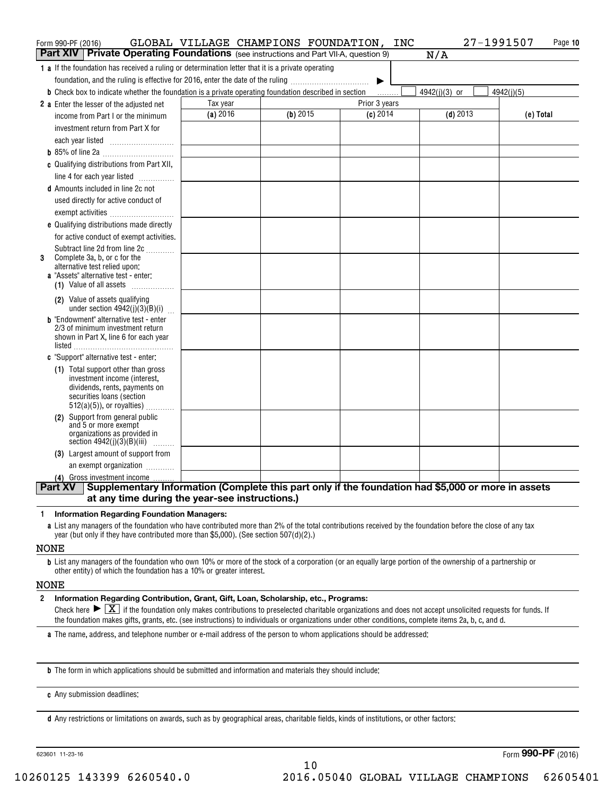| Form 990-PF (2016)                                                                                                   | GLOBAL VILLAGE CHAMPIONS FOUNDATION, INC |          |               | 27-1991507    | Page 10    |
|----------------------------------------------------------------------------------------------------------------------|------------------------------------------|----------|---------------|---------------|------------|
| <b>Part XIV Private Operating Foundations</b> (see instructions and Part VII-A, question 9)                          |                                          |          |               | N/A           |            |
| <b>1</b> a If the foundation has received a ruling or determination letter that it is a private operating            |                                          |          |               |               |            |
| foundation, and the ruling is effective for 2016, enter the date of the ruling                                       |                                          |          |               |               |            |
| <b>b</b> Check box to indicate whether the foundation is a private operating foundation described in section         |                                          |          |               | 4942(j)(3) or | 4942(j)(5) |
| <b>2</b> a Enter the lesser of the adjusted net                                                                      | Tax year                                 |          | Prior 3 years |               |            |
| income from Part I or the minimum                                                                                    | $(a)$ 2016                               | (b) 2015 | $(c)$ 2014    | $(d)$ 2013    | (e) Total  |
| investment return from Part X for                                                                                    |                                          |          |               |               |            |
| each year listed                                                                                                     |                                          |          |               |               |            |
|                                                                                                                      |                                          |          |               |               |            |
| c Qualifying distributions from Part XII,                                                                            |                                          |          |               |               |            |
| line 4 for each year listed                                                                                          |                                          |          |               |               |            |
| <b>d</b> Amounts included in line 2c not                                                                             |                                          |          |               |               |            |
| used directly for active conduct of                                                                                  |                                          |          |               |               |            |
| exempt activities                                                                                                    |                                          |          |               |               |            |
| e Qualifying distributions made directly                                                                             |                                          |          |               |               |            |
| for active conduct of exempt activities.                                                                             |                                          |          |               |               |            |
| Subtract line 2d from line 2c<br>Complete 3a, b, or c for the<br>3                                                   |                                          |          |               |               |            |
| alternative test relied upon:                                                                                        |                                          |          |               |               |            |
| <b>a</b> "Assets" alternative test - enter:                                                                          |                                          |          |               |               |            |
| (1) Value of all assets $\ldots$                                                                                     |                                          |          |               |               |            |
| (2) Value of assets qualifying<br>under section $4942(j)(3)(B)(i)$                                                   |                                          |          |               |               |            |
| <b>b</b> "Endowment" alternative test - enter                                                                        |                                          |          |               |               |            |
| 2/3 of minimum investment return<br>shown in Part X, line 6 for each year                                            |                                          |          |               |               |            |
|                                                                                                                      |                                          |          |               |               |            |
| c "Support" alternative test - enter:                                                                                |                                          |          |               |               |            |
| (1) Total support other than gross                                                                                   |                                          |          |               |               |            |
| investment income (interest,                                                                                         |                                          |          |               |               |            |
| dividends, rents, payments on<br>securities loans (section                                                           |                                          |          |               |               |            |
| $512(a)(5)$ , or royalties)                                                                                          |                                          |          |               |               |            |
| (2) Support from general public                                                                                      |                                          |          |               |               |            |
| and 5 or more exempt<br>organizations as provided in                                                                 |                                          |          |               |               |            |
| section $4942(j)(3)(B)(iii)$                                                                                         |                                          |          |               |               |            |
| (3) Largest amount of support from                                                                                   |                                          |          |               |               |            |
| an exempt organization                                                                                               |                                          |          |               |               |            |
| (4) Gross investment income                                                                                          |                                          |          |               |               |            |
| Supplementary Information (Complete this part only if the foundation had \$5,000 or more in assets<br><b>Part XV</b> |                                          |          |               |               |            |
| at any time during the year-see instructions.)                                                                       |                                          |          |               |               |            |

#### **<sup>1</sup>Information Regarding Foundation Managers: Information Regarding Foundation Managers: 1**

a List any managers of the foundation who have contributed more than 2% of the total contributions received by the foundation before the close of any tax year (but only if they have contributed more than \$<sup>5</sup> , <sup>000</sup>). (See section 507(d)(2 ).) year (but only if they have contributed more than \$5,000). (See section 507(d)(2).)

### NONE NONE

**b** List any managers of the foundation who own 10% or more of the stock of a corporation (or an equally large portion of the ownership of a partnership or other entity) of which the foundation has a 10% or greater interest. other entity) of which the foundation has a 10% or greater interest.

### NONE NONE

**<sup>2</sup>Information Regarding Contribution, Grant, Gift, Loan, Scholarship, etc., Programs: Information Regarding Contribution, Grant, Gift, Loan, Scholarship, etc., Programs:** Check here  $\blacktriangleright \boxed{\underline{X}}$  if the foundation only makes contributions to preselected charitable organizations and does not accept unsolicited requests for funds. If the foundation makes gifts, grants, etc. (see instructions) to individuals or organizations under other conditions, complete items 2a, b, c, and d. **2**

a The name, address, and telephone number or e-mail address of the person to whom applications should be addressed:

**b** The form in which applications should be submitted and information and materials they should include:

**c** Any submission deadlines: **c**Any submission deadlines:

**d** Any restrictions or limitations on awards, such as by geographical areas, charitable fields, kinds of institutions, or other factors:

623601 11-23-16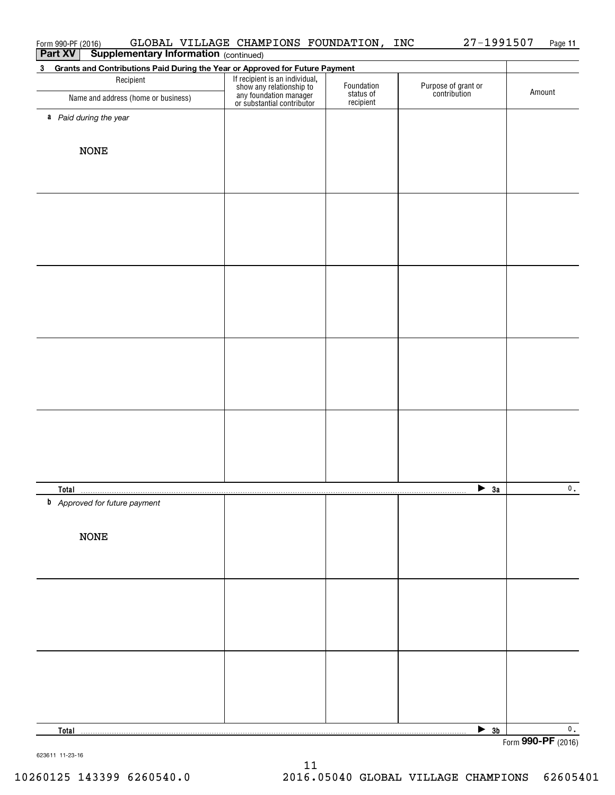| Form 990-PF (2016)                                                                | GLOBAL VILLAGE CHAMPIONS FOUNDATION,                                                                               |                         | INC<br>27-1991507                   | Page 11            |
|-----------------------------------------------------------------------------------|--------------------------------------------------------------------------------------------------------------------|-------------------------|-------------------------------------|--------------------|
| <b>Supplementary Information (continued)</b><br><b>Part XV</b>                    |                                                                                                                    |                         |                                     |                    |
| Grants and Contributions Paid During the Year or Approved for Future Payment<br>3 |                                                                                                                    |                         |                                     |                    |
| Recipient<br>Name and address (home or business)                                  | If recipient is an individual,<br>show any relationship to<br>any foundation manager<br>or substantial contributor | Foundation<br>status of | Purpose of grant or<br>contribution | Amount             |
|                                                                                   |                                                                                                                    | recipient               |                                     |                    |
| a Paid during the year                                                            |                                                                                                                    |                         |                                     |                    |
|                                                                                   |                                                                                                                    |                         |                                     |                    |
| <b>NONE</b>                                                                       |                                                                                                                    |                         |                                     |                    |
|                                                                                   |                                                                                                                    |                         |                                     |                    |
|                                                                                   |                                                                                                                    |                         |                                     |                    |
|                                                                                   |                                                                                                                    |                         |                                     |                    |
|                                                                                   |                                                                                                                    |                         |                                     |                    |
|                                                                                   |                                                                                                                    |                         |                                     |                    |
|                                                                                   |                                                                                                                    |                         |                                     |                    |
|                                                                                   |                                                                                                                    |                         |                                     |                    |
|                                                                                   |                                                                                                                    |                         |                                     |                    |
|                                                                                   |                                                                                                                    |                         |                                     |                    |
|                                                                                   |                                                                                                                    |                         |                                     |                    |
|                                                                                   |                                                                                                                    |                         |                                     |                    |
|                                                                                   |                                                                                                                    |                         |                                     |                    |
|                                                                                   |                                                                                                                    |                         |                                     |                    |
|                                                                                   |                                                                                                                    |                         |                                     |                    |
|                                                                                   |                                                                                                                    |                         |                                     |                    |
|                                                                                   |                                                                                                                    |                         |                                     |                    |
|                                                                                   |                                                                                                                    |                         |                                     |                    |
|                                                                                   |                                                                                                                    |                         |                                     |                    |
|                                                                                   |                                                                                                                    |                         |                                     |                    |
|                                                                                   |                                                                                                                    |                         |                                     |                    |
|                                                                                   |                                                                                                                    |                         |                                     |                    |
|                                                                                   |                                                                                                                    |                         |                                     |                    |
| <b>Total</b>                                                                      |                                                                                                                    |                         | $\sum$ 3a                           | $\mathbf{0}$ .     |
| <b>b</b> Approved for future payment                                              |                                                                                                                    |                         |                                     |                    |
|                                                                                   |                                                                                                                    |                         |                                     |                    |
|                                                                                   |                                                                                                                    |                         |                                     |                    |
| <b>NONE</b>                                                                       |                                                                                                                    |                         |                                     |                    |
|                                                                                   |                                                                                                                    |                         |                                     |                    |
|                                                                                   |                                                                                                                    |                         |                                     |                    |
|                                                                                   |                                                                                                                    |                         |                                     |                    |
|                                                                                   |                                                                                                                    |                         |                                     |                    |
|                                                                                   |                                                                                                                    |                         |                                     |                    |
|                                                                                   |                                                                                                                    |                         |                                     |                    |
|                                                                                   |                                                                                                                    |                         |                                     |                    |
|                                                                                   |                                                                                                                    |                         |                                     |                    |
|                                                                                   |                                                                                                                    |                         |                                     |                    |
|                                                                                   |                                                                                                                    |                         |                                     |                    |
|                                                                                   |                                                                                                                    |                         |                                     |                    |
|                                                                                   |                                                                                                                    |                         |                                     |                    |
| <b>Total</b>                                                                      |                                                                                                                    |                         | $\frac{3b}{2}$                      | $\mathbf 0$ .      |
|                                                                                   |                                                                                                                    |                         |                                     | Form 990-PF (2016) |

623611 11-23-16 623611 11-23-16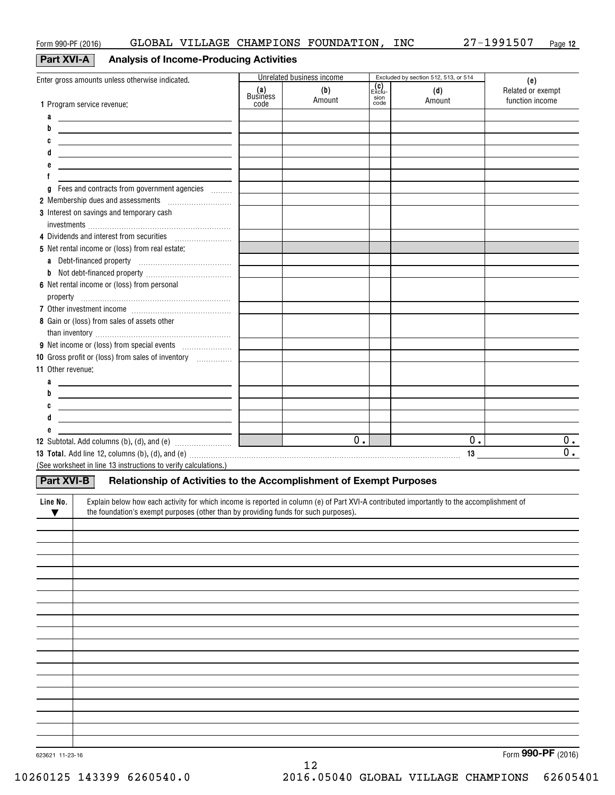### **Part XVI-A** Analysis of Income-Producing Activities

|                                                                                                                                                                                                                                                   |                                | Unrelated business income |                                  | Excluded by section 512, 513, or 514 |                                             |
|---------------------------------------------------------------------------------------------------------------------------------------------------------------------------------------------------------------------------------------------------|--------------------------------|---------------------------|----------------------------------|--------------------------------------|---------------------------------------------|
| Enter gross amounts unless otherwise indicated.<br>1 Program service revenue:                                                                                                                                                                     | (a)<br><b>Business</b><br>code | (b)<br>Amount             | $\mathsf{Exclu}$<br>sion<br>code | (d)<br>Amount                        | (e)<br>Related or exempt<br>function income |
| a                                                                                                                                                                                                                                                 |                                |                           |                                  |                                      |                                             |
| <u>and the contract of the contract of the contract of the contract of the contract of the contract of the contract of the contract of the contract of the contract of the contract of the contract of the contract of the contr</u><br>b         |                                |                           |                                  |                                      |                                             |
| C<br><u> 1980 - Jan Samuel Barbara, margaret eta idazlea (h. 1980).</u>                                                                                                                                                                           |                                |                           |                                  |                                      |                                             |
| <u> 1980 - Jan Sterner, amerikansk politiker (</u>                                                                                                                                                                                                |                                |                           |                                  |                                      |                                             |
| e<br><u> 1989 - Johann Harry Harry Harry Harry Harry Harry Harry Harry Harry Harry Harry Harry Harry Harry Harry Harry</u>                                                                                                                        |                                |                           |                                  |                                      |                                             |
|                                                                                                                                                                                                                                                   |                                |                           |                                  |                                      |                                             |
| Fees and contracts from government agencies<br>g                                                                                                                                                                                                  |                                |                           |                                  |                                      |                                             |
| 2 Membership dues and assessments [111] Membership dues and assessments                                                                                                                                                                           |                                |                           |                                  |                                      |                                             |
| 3 Interest on savings and temporary cash                                                                                                                                                                                                          |                                |                           |                                  |                                      |                                             |
|                                                                                                                                                                                                                                                   |                                |                           |                                  |                                      |                                             |
| 4 Dividends and interest from securities [111] [11] Dividends and interest from securities                                                                                                                                                        |                                |                           |                                  |                                      |                                             |
| 5 Net rental income or (loss) from real estate:                                                                                                                                                                                                   |                                |                           |                                  |                                      |                                             |
|                                                                                                                                                                                                                                                   |                                |                           |                                  |                                      |                                             |
|                                                                                                                                                                                                                                                   |                                |                           |                                  |                                      |                                             |
| 6 Net rental income or (loss) from personal                                                                                                                                                                                                       |                                |                           |                                  |                                      |                                             |
|                                                                                                                                                                                                                                                   |                                |                           |                                  |                                      |                                             |
| 8 Gain or (loss) from sales of assets other                                                                                                                                                                                                       |                                |                           |                                  |                                      |                                             |
|                                                                                                                                                                                                                                                   |                                |                           |                                  |                                      |                                             |
| 10 Gross profit or (loss) from sales of inventory                                                                                                                                                                                                 |                                |                           |                                  |                                      |                                             |
| 11 Other revenue:                                                                                                                                                                                                                                 |                                |                           |                                  |                                      |                                             |
| a<br><u> 1980 - Andrea Andrew Maria (h. 1980).</u>                                                                                                                                                                                                |                                |                           |                                  |                                      |                                             |
| b<br><u> 1989 - Andrea Aonaichte, ann an t-Èireann an t-Èireann an t-Èireann an t-Èireann an t-Èireann an t-Èireann an </u>                                                                                                                       |                                |                           |                                  |                                      |                                             |
| C<br><u> 1980 - Andrea Andrew Maria (h. 1980).</u>                                                                                                                                                                                                |                                |                           |                                  |                                      |                                             |
| d<br><u> 1989 - Andrea State Barbara, amerikan personal di personal dengan personal dengan personal dengan personal de</u>                                                                                                                        |                                |                           |                                  |                                      |                                             |
| е<br><u> 1989 - Alexandr Alexandr III, prima populație de la provincia de la provincia de la provincia de la provincia</u>                                                                                                                        |                                |                           |                                  |                                      |                                             |
|                                                                                                                                                                                                                                                   |                                | 0.                        |                                  | 0.                                   | 0.                                          |
| 13 Total. Add line 12, columns (b), (d), and (e) material contracts and contained a series and a series of the series of the series of the series of the series of the series of the series of the series of the series of the                    |                                |                           |                                  |                                      | $\overline{0}$ .                            |
| (See worksheet in line 13 instructions to verify calculations.)                                                                                                                                                                                   |                                |                           |                                  |                                      |                                             |
| Relationship of Activities to the Accomplishment of Exempt Purposes<br><b>Part XVI-B</b>                                                                                                                                                          |                                |                           |                                  |                                      |                                             |
| Explain below how each activity for which income is reported in column (e) of Part XVI-A contributed importantly to the accomplishment of<br>Line No.<br>the foundation's exempt purposes (other than by providing funds for such purposes).<br>▼ |                                |                           |                                  |                                      |                                             |
|                                                                                                                                                                                                                                                   |                                |                           |                                  |                                      |                                             |
|                                                                                                                                                                                                                                                   |                                |                           |                                  |                                      |                                             |
|                                                                                                                                                                                                                                                   |                                |                           |                                  |                                      |                                             |
|                                                                                                                                                                                                                                                   |                                |                           |                                  |                                      |                                             |
|                                                                                                                                                                                                                                                   |                                |                           |                                  |                                      |                                             |
|                                                                                                                                                                                                                                                   |                                |                           |                                  |                                      |                                             |
|                                                                                                                                                                                                                                                   |                                |                           |                                  |                                      |                                             |
|                                                                                                                                                                                                                                                   |                                |                           |                                  |                                      |                                             |
|                                                                                                                                                                                                                                                   |                                |                           |                                  |                                      |                                             |
|                                                                                                                                                                                                                                                   |                                |                           |                                  |                                      |                                             |
|                                                                                                                                                                                                                                                   |                                |                           |                                  |                                      |                                             |
|                                                                                                                                                                                                                                                   |                                |                           |                                  |                                      |                                             |
|                                                                                                                                                                                                                                                   |                                |                           |                                  |                                      |                                             |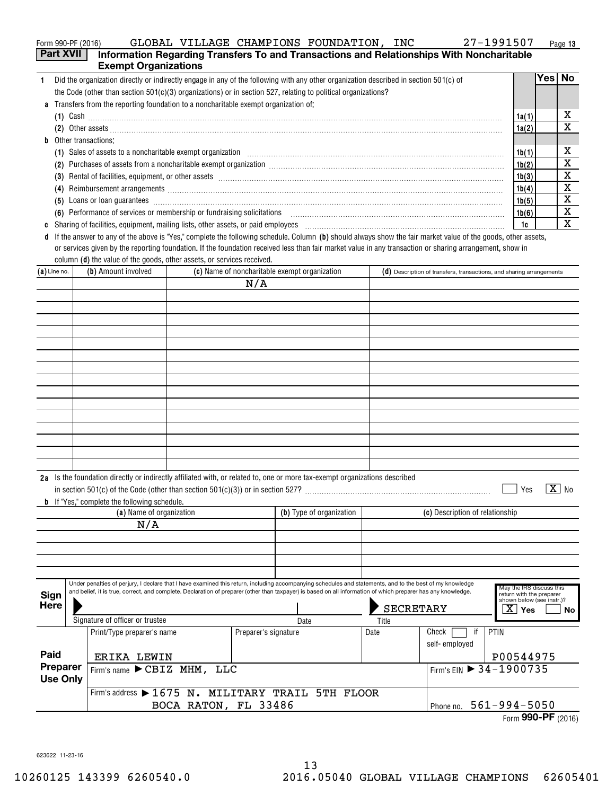|  | Form 990-PF (2016) | GLOBAL | VILLAGE | CHAMPIONS | FOUNDATION | INC | 1991507<br>רי ר | Page 13 |
|--|--------------------|--------|---------|-----------|------------|-----|-----------------|---------|
|--|--------------------|--------|---------|-----------|------------|-----|-----------------|---------|

|                                                                                                                                                                                                                               | <b>Part XVII</b> | <b>Exempt Organizations</b>                                                                                                                                                                                                                                                                                               |                      |                                 |                                                   |       | Information Regarding Transfers To and Transactions and Relationships With Noncharitable                                                                                                                                                                                                                                   |                                                                                   |              |
|-------------------------------------------------------------------------------------------------------------------------------------------------------------------------------------------------------------------------------|------------------|---------------------------------------------------------------------------------------------------------------------------------------------------------------------------------------------------------------------------------------------------------------------------------------------------------------------------|----------------------|---------------------------------|---------------------------------------------------|-------|----------------------------------------------------------------------------------------------------------------------------------------------------------------------------------------------------------------------------------------------------------------------------------------------------------------------------|-----------------------------------------------------------------------------------|--------------|
| $\mathbf{1}$                                                                                                                                                                                                                  |                  | Did the organization directly or indirectly engage in any of the following with any other organization described in section 501(c) of                                                                                                                                                                                     |                      |                                 |                                                   |       |                                                                                                                                                                                                                                                                                                                            |                                                                                   | Yes No       |
|                                                                                                                                                                                                                               |                  | the Code (other than section $501(c)(3)$ organizations) or in section 527, relating to political organizations?                                                                                                                                                                                                           |                      |                                 |                                                   |       |                                                                                                                                                                                                                                                                                                                            |                                                                                   |              |
|                                                                                                                                                                                                                               |                  | a Transfers from the reporting foundation to a noncharitable exempt organization of:                                                                                                                                                                                                                                      |                      |                                 |                                                   |       |                                                                                                                                                                                                                                                                                                                            |                                                                                   |              |
|                                                                                                                                                                                                                               |                  |                                                                                                                                                                                                                                                                                                                           |                      |                                 |                                                   |       |                                                                                                                                                                                                                                                                                                                            | 1a(1)                                                                             | х            |
|                                                                                                                                                                                                                               |                  |                                                                                                                                                                                                                                                                                                                           |                      |                                 |                                                   |       | (2) Other assets <b>construction and construction of the construction</b> of the construction of the construction of the construction of the construction of the construction of the construction of the construction of the constr                                                                                        | 1a(2)                                                                             | X            |
| b                                                                                                                                                                                                                             |                  | Other transactions:                                                                                                                                                                                                                                                                                                       |                      |                                 |                                                   |       |                                                                                                                                                                                                                                                                                                                            |                                                                                   |              |
|                                                                                                                                                                                                                               |                  |                                                                                                                                                                                                                                                                                                                           |                      |                                 |                                                   |       | (1) Sales of assets to a noncharitable exempt organization manufactured contains and a set of assets to a noncharitable exempt organization manufactured contains and a set of the set of the set of the set of the set of the                                                                                             | 1b(1)                                                                             | x            |
|                                                                                                                                                                                                                               |                  |                                                                                                                                                                                                                                                                                                                           |                      |                                 |                                                   |       | (2) Purchases of assets from a noncharitable exempt organization [11] match material material material material material material material material material material material material material material material material ma                                                                                             | 1b(2)                                                                             | X            |
|                                                                                                                                                                                                                               |                  |                                                                                                                                                                                                                                                                                                                           |                      |                                 |                                                   |       |                                                                                                                                                                                                                                                                                                                            | 1b(3)                                                                             | X            |
|                                                                                                                                                                                                                               |                  |                                                                                                                                                                                                                                                                                                                           |                      |                                 |                                                   |       | (4) Reimbursement arrangements [111] Allen and the contract of the contract of the contract of the contract of the contract of the contract of the contract of the contract of the contract of the contract of the contract of                                                                                             | 1b(4)                                                                             | X            |
|                                                                                                                                                                                                                               |                  |                                                                                                                                                                                                                                                                                                                           |                      |                                 |                                                   |       | (5) Loans or loan guarantees <b>construction and construction</b> construction and a series of loans or loan guarantees                                                                                                                                                                                                    | 1b(5)                                                                             | X            |
|                                                                                                                                                                                                                               |                  |                                                                                                                                                                                                                                                                                                                           |                      |                                 |                                                   |       | (6) Performance of services or membership or fundraising solicitations [11] matter content to the services or membership or fundraising solicitations [11] matter content to the services or membership or fundrations [11] ma                                                                                             | 1b(6)                                                                             | X            |
| c Sharing of facilities, equipment, mailing lists, other assets, or paid employees [11,11] [11] content that increase the set of facilities, equipment, mailing lists, other assets, or paid employees [11] [12] [12] content |                  |                                                                                                                                                                                                                                                                                                                           |                      |                                 |                                                   |       |                                                                                                                                                                                                                                                                                                                            | 1c                                                                                | X            |
|                                                                                                                                                                                                                               |                  | column (d) the value of the goods, other assets, or services received.                                                                                                                                                                                                                                                    |                      |                                 |                                                   |       | d If the answer to any of the above is "Yes," complete the following schedule. Column (b) should always show the fair market value of the goods, other assets,<br>or services given by the reporting foundation. If the foundation received less than fair market value in any transaction or sharing arrangement, show in |                                                                                   |              |
| $(a)$ Line no.                                                                                                                                                                                                                |                  | (b) Amount involved                                                                                                                                                                                                                                                                                                       |                      |                                 | (c) Name of noncharitable exempt organization     |       | $(d)$ Description of transfers, transactions, and sharing arrangements                                                                                                                                                                                                                                                     |                                                                                   |              |
|                                                                                                                                                                                                                               |                  |                                                                                                                                                                                                                                                                                                                           |                      | N/A                             |                                                   |       |                                                                                                                                                                                                                                                                                                                            |                                                                                   |              |
|                                                                                                                                                                                                                               |                  |                                                                                                                                                                                                                                                                                                                           |                      |                                 |                                                   |       |                                                                                                                                                                                                                                                                                                                            |                                                                                   |              |
|                                                                                                                                                                                                                               |                  |                                                                                                                                                                                                                                                                                                                           |                      |                                 |                                                   |       |                                                                                                                                                                                                                                                                                                                            |                                                                                   |              |
|                                                                                                                                                                                                                               |                  |                                                                                                                                                                                                                                                                                                                           |                      |                                 |                                                   |       |                                                                                                                                                                                                                                                                                                                            |                                                                                   |              |
|                                                                                                                                                                                                                               |                  |                                                                                                                                                                                                                                                                                                                           |                      |                                 |                                                   |       |                                                                                                                                                                                                                                                                                                                            |                                                                                   |              |
|                                                                                                                                                                                                                               |                  |                                                                                                                                                                                                                                                                                                                           |                      |                                 |                                                   |       |                                                                                                                                                                                                                                                                                                                            |                                                                                   |              |
|                                                                                                                                                                                                                               |                  |                                                                                                                                                                                                                                                                                                                           |                      |                                 |                                                   |       |                                                                                                                                                                                                                                                                                                                            |                                                                                   |              |
|                                                                                                                                                                                                                               |                  |                                                                                                                                                                                                                                                                                                                           |                      |                                 |                                                   |       |                                                                                                                                                                                                                                                                                                                            |                                                                                   |              |
|                                                                                                                                                                                                                               |                  |                                                                                                                                                                                                                                                                                                                           |                      |                                 |                                                   |       |                                                                                                                                                                                                                                                                                                                            |                                                                                   |              |
|                                                                                                                                                                                                                               |                  |                                                                                                                                                                                                                                                                                                                           |                      |                                 |                                                   |       |                                                                                                                                                                                                                                                                                                                            |                                                                                   |              |
|                                                                                                                                                                                                                               |                  |                                                                                                                                                                                                                                                                                                                           |                      |                                 |                                                   |       |                                                                                                                                                                                                                                                                                                                            |                                                                                   |              |
|                                                                                                                                                                                                                               |                  |                                                                                                                                                                                                                                                                                                                           |                      |                                 |                                                   |       |                                                                                                                                                                                                                                                                                                                            |                                                                                   |              |
|                                                                                                                                                                                                                               |                  |                                                                                                                                                                                                                                                                                                                           |                      |                                 |                                                   |       |                                                                                                                                                                                                                                                                                                                            |                                                                                   |              |
|                                                                                                                                                                                                                               |                  |                                                                                                                                                                                                                                                                                                                           |                      |                                 |                                                   |       |                                                                                                                                                                                                                                                                                                                            |                                                                                   |              |
|                                                                                                                                                                                                                               |                  |                                                                                                                                                                                                                                                                                                                           |                      |                                 |                                                   |       |                                                                                                                                                                                                                                                                                                                            |                                                                                   |              |
|                                                                                                                                                                                                                               |                  | 2a Is the foundation directly or indirectly affiliated with, or related to, one or more tax-exempt organizations described                                                                                                                                                                                                |                      |                                 |                                                   |       |                                                                                                                                                                                                                                                                                                                            |                                                                                   |              |
|                                                                                                                                                                                                                               |                  |                                                                                                                                                                                                                                                                                                                           |                      |                                 |                                                   |       |                                                                                                                                                                                                                                                                                                                            | Yes                                                                               | $X_{\geq 0}$ |
|                                                                                                                                                                                                                               |                  | <b>b</b> If "Yes," complete the following schedule.                                                                                                                                                                                                                                                                       |                      |                                 |                                                   |       |                                                                                                                                                                                                                                                                                                                            |                                                                                   |              |
|                                                                                                                                                                                                                               |                  | (a) Name of organization                                                                                                                                                                                                                                                                                                  |                      |                                 | (b) Type of organization                          |       | (c) Description of relationship                                                                                                                                                                                                                                                                                            |                                                                                   |              |
|                                                                                                                                                                                                                               |                  | N/A                                                                                                                                                                                                                                                                                                                       |                      |                                 |                                                   |       |                                                                                                                                                                                                                                                                                                                            |                                                                                   |              |
|                                                                                                                                                                                                                               |                  |                                                                                                                                                                                                                                                                                                                           |                      |                                 |                                                   |       |                                                                                                                                                                                                                                                                                                                            |                                                                                   |              |
|                                                                                                                                                                                                                               |                  |                                                                                                                                                                                                                                                                                                                           |                      |                                 |                                                   |       |                                                                                                                                                                                                                                                                                                                            |                                                                                   |              |
|                                                                                                                                                                                                                               |                  |                                                                                                                                                                                                                                                                                                                           |                      |                                 |                                                   |       |                                                                                                                                                                                                                                                                                                                            |                                                                                   |              |
|                                                                                                                                                                                                                               |                  |                                                                                                                                                                                                                                                                                                                           |                      |                                 |                                                   |       |                                                                                                                                                                                                                                                                                                                            |                                                                                   |              |
| Sign<br>Here                                                                                                                                                                                                                  |                  | Under penalties of perjury, I declare that I have examined this return, including accompanying schedules and statements, and to the best of my knowledge<br>and belief, it is true, correct, and complete. Declaration of preparer (other than taxpayer) is based on all information of which preparer has any knowledge. |                      |                                 |                                                   |       |                                                                                                                                                                                                                                                                                                                            | May the IRS discuss this<br>return with the preparer<br>shown below (see instr.)? |              |
|                                                                                                                                                                                                                               |                  | Signature of officer or trustee                                                                                                                                                                                                                                                                                           |                      |                                 |                                                   | Title | SECRETARY                                                                                                                                                                                                                                                                                                                  | $\overline{X}$ Yes                                                                | No.          |
|                                                                                                                                                                                                                               |                  | Print/Type preparer's name                                                                                                                                                                                                                                                                                                |                      | Preparer's signature            | Date                                              | Date  | PTIN<br>Check<br>if                                                                                                                                                                                                                                                                                                        |                                                                                   |              |
|                                                                                                                                                                                                                               |                  |                                                                                                                                                                                                                                                                                                                           |                      |                                 |                                                   |       | self-employed                                                                                                                                                                                                                                                                                                              |                                                                                   |              |
| Paid                                                                                                                                                                                                                          |                  | ERIKA LEWIN                                                                                                                                                                                                                                                                                                               |                      |                                 |                                                   |       |                                                                                                                                                                                                                                                                                                                            | P00544975                                                                         |              |
|                                                                                                                                                                                                                               | Preparer         | Firm's name CBIZ MHM, LLC                                                                                                                                                                                                                                                                                                 |                      |                                 |                                                   |       | Firm's EIN ▶ 34-1900735                                                                                                                                                                                                                                                                                                    |                                                                                   |              |
|                                                                                                                                                                                                                               | <b>Use Only</b>  |                                                                                                                                                                                                                                                                                                                           |                      |                                 |                                                   |       |                                                                                                                                                                                                                                                                                                                            |                                                                                   |              |
|                                                                                                                                                                                                                               |                  |                                                                                                                                                                                                                                                                                                                           |                      |                                 | Firm's address > 1675 N. MILITARY TRAIL 5TH FLOOR |       |                                                                                                                                                                                                                                                                                                                            |                                                                                   |              |
|                                                                                                                                                                                                                               |                  |                                                                                                                                                                                                                                                                                                                           | BOCA RATON, FL 33486 | $561 - 994 - 5050$<br>Phone no. |                                                   |       |                                                                                                                                                                                                                                                                                                                            |                                                                                   |              |

|  |  |  | Form 990-PF (2016) |
|--|--|--|--------------------|

623622 11-23-16 623622 11-23-16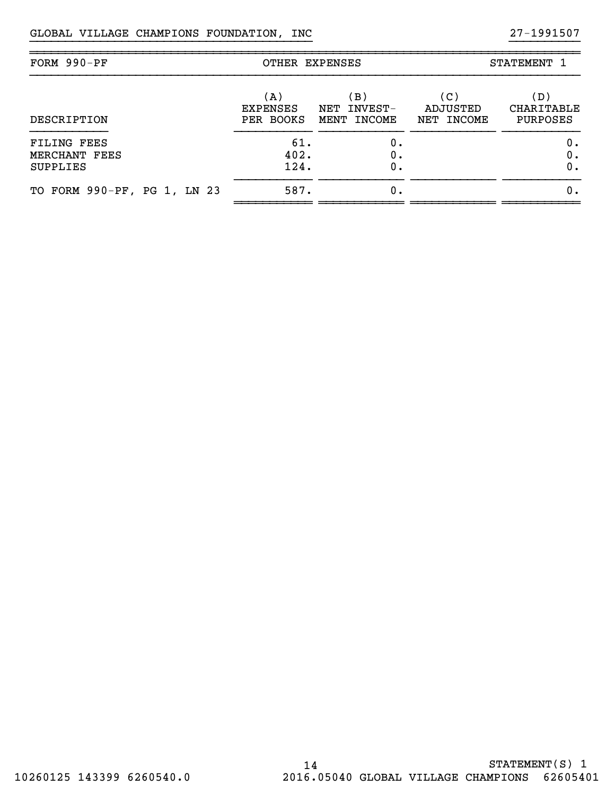| FORM 990-PF                                            | OTHER EXPENSES                      |                                                 | STATEMENT 1                   |                                      |  |
|--------------------------------------------------------|-------------------------------------|-------------------------------------------------|-------------------------------|--------------------------------------|--|
| DESCRIPTION                                            | (A)<br><b>EXPENSES</b><br>PER BOOKS | (B )<br>INVEST-<br>NET<br><b>INCOME</b><br>MENT | (C)<br>ADJUSTED<br>NET INCOME | (D)<br>CHARITABLE<br><b>PURPOSES</b> |  |
| <b>FILING FEES</b><br>MERCHANT FEES<br><b>SUPPLIES</b> | 61.<br>402.<br>124.                 | 0.<br>0.<br>0.                                  |                               | ο.<br>Ο.<br>Ο.                       |  |
| TO FORM 990-PF, PG 1, LN 23                            | 587.                                | 0.                                              |                               | Ο.                                   |  |

}}}}}}}}}}}}}}}}}}}}}}}}}}}}}}}}}}}}}}}} }}}}}}}}}}